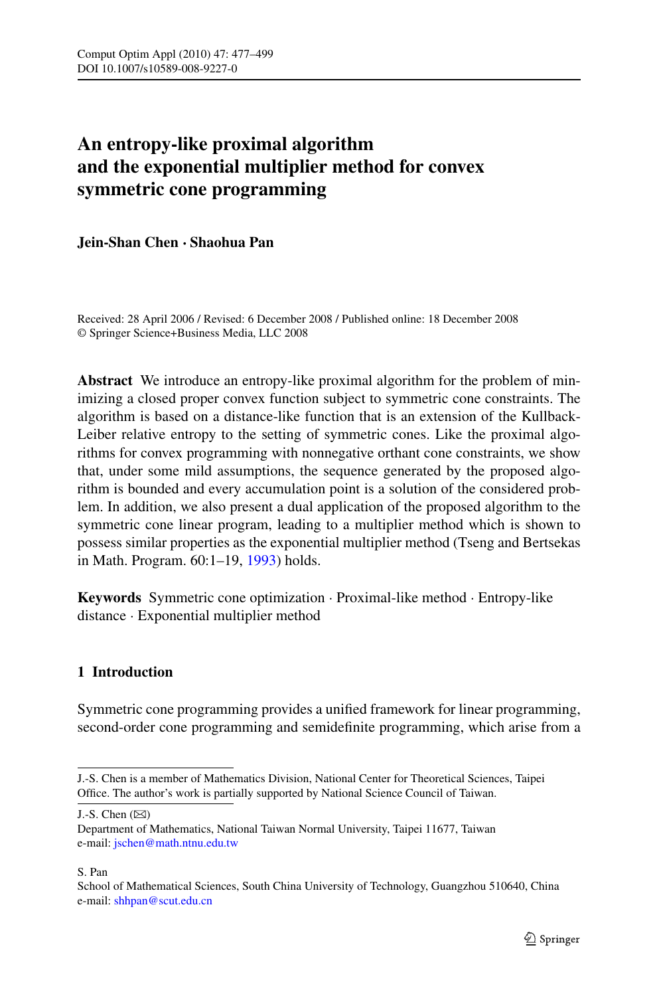# **An entropy-like proximal algorithm and the exponential multiplier method for convex symmetric cone programming**

# **Jein-Shan Chen · Shaohua Pan**

Received: 28 April 2006 / Revised: 6 December 2008 / Published online: 18 December 2008 © Springer Science+Business Media, LLC 2008

**Abstract** We introduce an entropy-like proximal algorithm for the problem of minimizing a closed proper convex function subject to symmetric cone constraints. The algorithm is based on a distance-like function that is an extension of the Kullback-Leiber relative entropy to the setting of symmetric cones. Like the proximal algorithms for convex programming with nonnegative orthant cone constraints, we show that, under some mild assumptions, the sequence generated by the proposed algorithm is bounded and every accumulation point is a solution of the considered problem. In addition, we also present a dual application of the proposed algorithm to the symmetric cone linear program, leading to a multiplier method which is shown to possess similar properties as the exponential multiplier method (Tseng and Bertsekas in Math. Program. 60:1–19, [1993\)](#page-22-0) holds.

**Keywords** Symmetric cone optimization · Proximal-like method · Entropy-like distance · Exponential multiplier method

# **1 Introduction**

Symmetric cone programming provides a unified framework for linear programming, second-order cone programming and semidefinite programming, which arise from a

J.-S. Chen  $(\boxtimes)$ 

#### S. Pan

J.-S. Chen is a member of Mathematics Division, National Center for Theoretical Sciences, Taipei Office. The author's work is partially supported by National Science Council of Taiwan.

Department of Mathematics, National Taiwan Normal University, Taipei 11677, Taiwan e-mail: [jschen@math.ntnu.edu.tw](mailto:jschen@math.ntnu.edu.tw)

School of Mathematical Sciences, South China University of Technology, Guangzhou 510640, China e-mail: [shhpan@scut.edu.cn](mailto:shhpan@scut.edu.cn)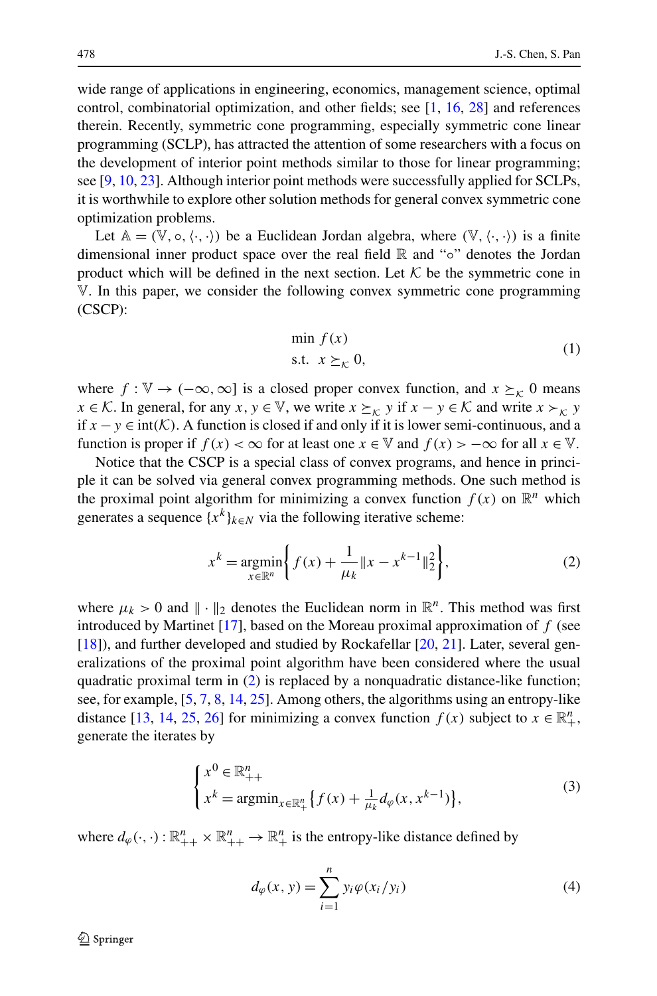wide range of applications in engineering, economics, management science, optimal control, combinatorial optimization, and other fields; see [[1,](#page-21-0) [16](#page-22-1), [28\]](#page-22-2) and references therein. Recently, symmetric cone programming, especially symmetric cone linear programming (SCLP), has attracted the attention of some researchers with a focus on the development of interior point methods similar to those for linear programming; see [[9,](#page-21-1) [10](#page-21-2), [23\]](#page-22-3). Although interior point methods were successfully applied for SCLPs, it is worthwhile to explore other solution methods for general convex symmetric cone optimization problems.

<span id="page-1-1"></span>Let  $A = (\mathbb{V}, \circ, \langle \cdot, \cdot \rangle)$  be a Euclidean Jordan algebra, where  $(\mathbb{V}, \langle \cdot, \cdot \rangle)$  is a finite dimensional inner product space over the real field R and "◦" denotes the Jordan product which will be defined in the next section. Let  $K$  be the symmetric cone in V. In this paper, we consider the following convex symmetric cone programming (CSCP):

$$
\min f(x) \n\text{s.t. } x \succeq_{\mathcal{K}} 0,
$$
\n(1)

<span id="page-1-0"></span>where  $f : \mathbb{V} \to (-\infty, \infty]$  is a closed proper convex function, and  $x \succeq_K 0$  means *x* ∈ K. In general, for any *x*, *y* ∈ V, we write  $x \succeq_K y$  if  $x - y \in K$  and write  $x \succ_K y$ if  $x$  − *y* ∈ int( $K$ ). A function is closed if and only if it is lower semi-continuous, and a function is proper if  $f(x) < \infty$  for at least one  $x \in \mathbb{V}$  and  $f(x) > -\infty$  for all  $x \in \mathbb{V}$ .

Notice that the CSCP is a special class of convex programs, and hence in principle it can be solved via general convex programming methods. One such method is the proximal point algorithm for minimizing a convex function  $f(x)$  on  $\mathbb{R}^n$  which generates a sequence  ${x^k}_{k \in N}$  via the following iterative scheme:

$$
x^{k} = \underset{x \in \mathbb{R}^{n}}{\operatorname{argmin}} \bigg\{ f(x) + \frac{1}{\mu_{k}} \|x - x^{k-1}\|_{2}^{2} \bigg\},
$$
 (2)

<span id="page-1-2"></span>where  $\mu_k > 0$  and  $\|\cdot\|_2$  denotes the Euclidean norm in  $\mathbb{R}^n$ . This method was first introduced by Martinet [\[17](#page-22-4)], based on the Moreau proximal approximation of *f* (see [\[18](#page-22-5)]), and further developed and studied by Rockafellar [[20,](#page-22-6) [21\]](#page-22-7). Later, several generalizations of the proximal point algorithm have been considered where the usual quadratic proximal term in [\(2\)](#page-1-0) is replaced by a nonquadratic distance-like function; see, for example, [\[5](#page-21-3), [7,](#page-21-4) [8](#page-21-5), [14,](#page-22-8) [25](#page-22-9)]. Among others, the algorithms using an entropy-like distance [[13,](#page-22-10) [14](#page-22-8), [25](#page-22-9), [26\]](#page-22-11) for minimizing a convex function  $f(x)$  subject to  $x \in \mathbb{R}^n_+$ , generate the iterates by

<span id="page-1-3"></span>
$$
\begin{cases} x^0 \in \mathbb{R}_{++}^n \\ x^k = \operatorname{argmin}_{x \in \mathbb{R}_+^n} \{ f(x) + \frac{1}{\mu_k} d_\varphi(x, x^{k-1}) \}, \end{cases}
$$
(3)

where  $d_{\varphi}(\cdot, \cdot) : \mathbb{R}_{++}^n \times \mathbb{R}_{++}^n \to \mathbb{R}_{+}^n$  is the entropy-like distance defined by

$$
d_{\varphi}(x, y) = \sum_{i=1}^{n} y_i \varphi(x_i/y_i)
$$
\n<sup>(4)</sup>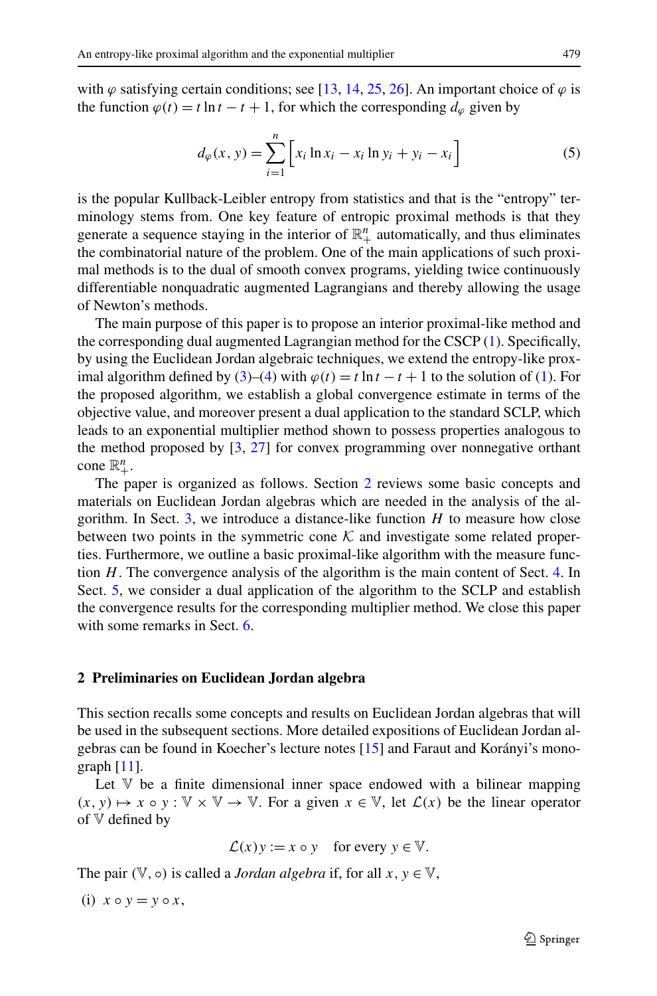<span id="page-2-1"></span>with  $\varphi$  satisfying certain conditions; see [\[13](#page-22-10), [14,](#page-22-8) [25,](#page-22-9) [26](#page-22-11)]. An important choice of  $\varphi$  is the function  $\varphi(t) = t \ln t - t + 1$ , for which the corresponding  $d_{\varphi}$  given by

$$
d_{\varphi}(x, y) = \sum_{i=1}^{n} \left[ x_i \ln x_i - x_i \ln y_i + y_i - x_i \right]
$$
 (5)

is the popular Kullback-Leibler entropy from statistics and that is the "entropy" terminology stems from. One key feature of entropic proximal methods is that they generate a sequence staying in the interior of  $\mathbb{R}^n_+$  automatically, and thus eliminates the combinatorial nature of the problem. One of the main applications of such proximal methods is to the dual of smooth convex programs, yielding twice continuously differentiable nonquadratic augmented Lagrangians and thereby allowing the usage of Newton's methods.

The main purpose of this paper is to propose an interior proximal-like method and the corresponding dual augmented Lagrangian method for the CSCP ([1\)](#page-1-1). Specifically, by using the Euclidean Jordan algebraic techniques, we extend the entropy-like prox-imal algorithm defined by [\(3](#page-1-2))–([4\)](#page-1-3) with  $\varphi(t) = t \ln t - t + 1$  to the solution of ([1\)](#page-1-1). For the proposed algorithm, we establish a global convergence estimate in terms of the objective value, and moreover present a dual application to the standard SCLP, which leads to an exponential multiplier method shown to possess properties analogous to the method proposed by [[3,](#page-21-6) [27\]](#page-22-0) for convex programming over nonnegative orthant  $cone \mathbb{R}_{+}^{n}$ .

<span id="page-2-0"></span>The paper is organized as follows. Section [2](#page-2-0) reviews some basic concepts and materials on Euclidean Jordan algebras which are needed in the analysis of the algorithm. In Sect. [3](#page-6-0), we introduce a distance-like function *H* to measure how close between two points in the symmetric cone  $K$  and investigate some related properties. Furthermore, we outline a basic proximal-like algorithm with the measure function *H*. The convergence analysis of the algorithm is the main content of Sect. [4.](#page-10-0) In Sect. [5,](#page-13-0) we consider a dual application of the algorithm to the SCLP and establish the convergence results for the corresponding multiplier method. We close this paper with some remarks in Sect. [6](#page-21-7).

#### **2 Preliminaries on Euclidean Jordan algebra**

This section recalls some concepts and results on Euclidean Jordan algebras that will be used in the subsequent sections. More detailed expositions of Euclidean Jordan algebras can be found in Koecher's lecture notes [[15\]](#page-22-12) and Faraut and Korányi's monograph [\[11](#page-21-8)].

Let  $V$  be a finite dimensional inner space endowed with a bilinear mapping  $(x, y) \mapsto x \circ y : \mathbb{V} \times \mathbb{V} \to \mathbb{V}$ . For a given  $x \in \mathbb{V}$ , let  $\mathcal{L}(x)$  be the linear operator of V defined by

$$
\mathcal{L}(x)y := x \circ y
$$
 for every  $y \in \mathbb{V}$ .

The pair  $(\mathbb{V}, \circ)$  is called a *Jordan algebra* if, for all  $x, y \in \mathbb{V}$ ,

 $(i)$   $x \circ y = y \circ x$ ,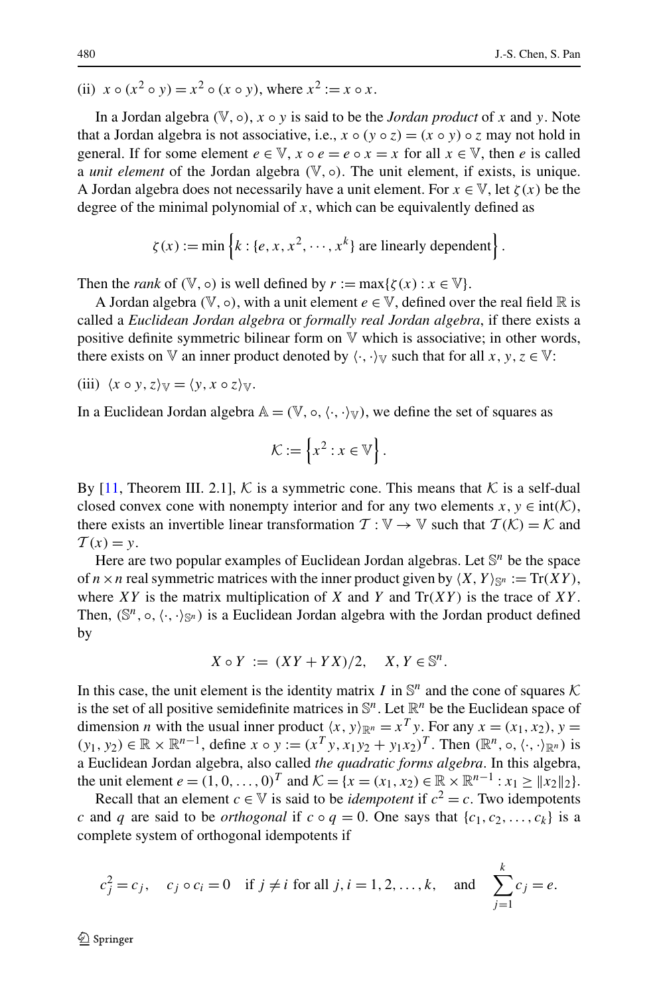(ii) 
$$
x \circ (x^2 \circ y) = x^2 \circ (x \circ y)
$$
, where  $x^2 := x \circ x$ .

In a Jordan algebra  $(V, \circ)$ ,  $x \circ y$  is said to be the *Jordan product* of x and y. Note that a Jordan algebra is not associative, i.e.,  $x \circ (y \circ z) = (x \circ y) \circ z$  may not hold in general. If for some element  $e \in \mathbb{V}$ ,  $x \circ e = e \circ x = x$  for all  $x \in \mathbb{V}$ , then *e* is called a *unit element* of the Jordan algebra  $(\mathbb{V}, \circ)$ . The unit element, if exists, is unique. A Jordan algebra does not necessarily have a unit element. For  $x \in V$ , let  $\zeta(x)$  be the degree of the minimal polynomial of  $x$ , which can be equivalently defined as

$$
\zeta(x) := \min \left\{ k : \{e, x, x^2, \cdots, x^k\} \text{ are linearly dependent} \right\}.
$$

Then the *rank* of  $(\mathbb{V}, \circ)$  is well defined by  $r := \max{\{\zeta(x) : x \in \mathbb{V}\}.$ 

A Jordan algebra  $(\mathbb{V}, \circ)$ , with a unit element  $e \in \mathbb{V}$ , defined over the real field  $\mathbb{R}$  is called a *Euclidean Jordan algebra* or *formally real Jordan algebra*, if there exists a positive definite symmetric bilinear form on  $\nabla$  which is associative; in other words, there exists on V an inner product denoted by  $\langle \cdot, \cdot \rangle_{V}$  such that for all *x*, *y*, *z*  $\in$  V:

(iii) 
$$
\langle x \circ y, z \rangle_{\mathbb{V}} = \langle y, x \circ z \rangle_{\mathbb{V}}
$$
.

In a Euclidean Jordan algebra  $A = (\mathbb{V}, \circ, \langle \cdot, \cdot \rangle_{\mathbb{V}})$ , we define the set of squares as

$$
\mathcal{K} := \left\{ x^2 : x \in \mathbb{V} \right\}.
$$

By [[11,](#page-21-8) Theorem III. 2.1], K is a symmetric cone. This means that K is a self-dual closed convex cone with nonempty interior and for any two elements  $x, y \in \text{int}(\mathcal{K})$ , there exists an invertible linear transformation  $T : \mathbb{V} \to \mathbb{V}$  such that  $T(K) = K$  and  $T(x) = y$ .

Here are two popular examples of Euclidean Jordan algebras. Let S*<sup>n</sup>* be the space of  $n \times n$  real symmetric matrices with the inner product given by  $\langle X, Y \rangle_{\mathbb{S}^n} := \text{Tr}(XY)$ , where *XY* is the matrix multiplication of *X* and *Y* and  $Tr(XY)$  is the trace of *XY*. Then,  $(\mathbb{S}^n, \circ, \langle \cdot, \cdot \rangle_{\mathbb{S}^n})$  is a Euclidean Jordan algebra with the Jordan product defined by

$$
X \circ Y := (XY + YX)/2, \quad X, Y \in \mathbb{S}^n.
$$

In this case, the unit element is the identity matrix *I* in  $\mathbb{S}^n$  and the cone of squares  $\mathcal K$ is the set of all positive semidefinite matrices in  $\mathbb{S}^n$ . Let  $\mathbb{R}^n$  be the Euclidean space of dimension *n* with the usual inner product  $\langle x, y \rangle_{\mathbb{R}^n} = x^T y$ . For any  $x = (x_1, x_2), y =$ *(y*<sub>1</sub>*, y*<sub>2</sub>) ∈ ℝ × ℝ<sup>*n*-1</sup>, define *x* ◦ *y* :=  $(x^T y, x_1 y_2 + y_1 x_2)^T$ . Then  $(\mathbb{R}^n, ∘, \langle \cdot, \cdot \rangle_{\mathbb{R}^n})$  is a Euclidean Jordan algebra, also called *the quadratic forms algebra*. In this algebra, the unit element  $e = (1, 0, \ldots, 0)^T$  and  $\mathcal{K} = \{x = (x_1, x_2) \in \mathbb{R} \times \mathbb{R}^{n-1} : x_1 \ge ||x_2||_2\}.$ 

Recall that an element *c*  $\in \mathbb{V}$  is said to be *idempotent* if  $c^2 = c$ . Two idempotents *c* and *q* are said to be *orthogonal* if  $c \circ q = 0$ . One says that  $\{c_1, c_2, \ldots, c_k\}$  is a complete system of orthogonal idempotents if

$$
c_j^2 = c_j
$$
,  $c_j \circ c_i = 0$  if  $j \neq i$  for all  $j, i = 1, 2, ..., k$ , and  $\sum_{j=1}^k c_j = e$ .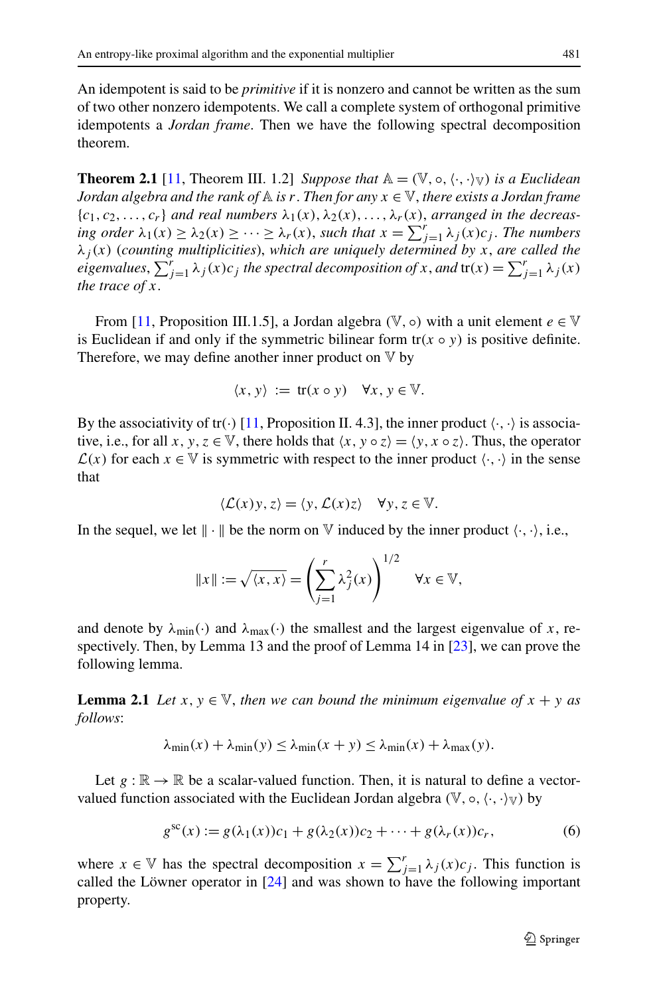An idempotent is said to be *primitive* if it is nonzero and cannot be written as the sum of two other nonzero idempotents. We call a complete system of orthogonal primitive idempotents a *Jordan frame*. Then we have the following spectral decomposition theorem.

**Theorem 2.1** [[11,](#page-21-8) Theorem III. 1.2] *Suppose that*  $\mathbb{A} = (\mathbb{V}, \circ, \langle \cdot, \cdot \rangle)$  *is a Euclidean Jordan algebra and the rank of*  $\mathbb A$  *is*  $r$ . *Then for any*  $x \in \mathbb V$ *, there exists a Jordan frame*  ${c_1, c_2, \ldots, c_r}$  *and real numbers*  $\lambda_1(x), \lambda_2(x), \ldots, \lambda_r(x)$ *, arranged in the decreasing order*  $\lambda_1(x) \geq \lambda_2(x) \geq \cdots \geq \lambda_r(x)$ , *such that*  $x = \sum_{j=1}^r \lambda_j(x) c_j$ . *The numbers λj (x)* (*counting multiplicities*), *which are uniquely determined by x*, *are called the*  $eigenvalues, \sum_{j=1}^{r} \lambda_j(x) c_j$  *the spectral decomposition of x*, *and*  $tr(x) = \sum_{j=1}^{r} \lambda_j(x)$ *the trace of x*.

From [\[11](#page-21-8), Proposition III.1.5], a Jordan algebra  $(\mathbb{V}, \circ)$  with a unit element  $e \in \mathbb{V}$ is Euclidean if and only if the symmetric bilinear form  $tr(x \circ y)$  is positive definite. Therefore, we may define another inner product on  $V$  by

$$
\langle x, y \rangle := \text{tr}(x \circ y) \quad \forall x, y \in \mathbb{V}.
$$

By the associativity of tr( $\cdot$ ) [[11,](#page-21-8) Proposition II. 4.3], the inner product  $\langle \cdot, \cdot \rangle$  is associative, i.e., for all  $x, y, z \in \mathbb{V}$ , there holds that  $\langle x, y \circ z \rangle = \langle y, x \circ z \rangle$ . Thus, the operator  $\mathcal{L}(x)$  for each  $x \in \mathbb{V}$  is symmetric with respect to the inner product  $\langle \cdot, \cdot \rangle$  in the sense that

$$
\langle \mathcal{L}(x)y, z \rangle = \langle y, \mathcal{L}(x)z \rangle \quad \forall y, z \in \mathbb{V}.
$$

<span id="page-4-1"></span>In the sequel, we let  $\|\cdot\|$  be the norm on  $\nabla$  induced by the inner product  $\langle \cdot, \cdot \rangle$ , i.e.,

$$
||x|| := \sqrt{\langle x, x \rangle} = \left(\sum_{j=1}^r \lambda_j^2(x)\right)^{1/2} \quad \forall x \in \mathbb{V},
$$

and denote by  $\lambda_{\text{min}}(\cdot)$  and  $\lambda_{\text{max}}(\cdot)$  the smallest and the largest eigenvalue of *x*, respectively. Then, by Lemma 13 and the proof of Lemma 14 in [\[23](#page-22-3)], we can prove the following lemma.

<span id="page-4-0"></span>**Lemma 2.1** *Let*  $x, y \in V$ , *then we can bound the minimum eigenvalue of*  $x + y$  *as follows*:

$$
\lambda_{\min}(x) + \lambda_{\min}(y) \le \lambda_{\min}(x + y) \le \lambda_{\min}(x) + \lambda_{\max}(y).
$$

Let  $g : \mathbb{R} \to \mathbb{R}$  be a scalar-valued function. Then, it is natural to define a vectorvalued function associated with the Euclidean Jordan algebra  $(\mathbb{V}, \circ, \langle \cdot, \cdot \rangle_{\mathbb{V}})$  by

$$
g^{\text{sc}}(x) := g(\lambda_1(x))c_1 + g(\lambda_2(x))c_2 + \dots + g(\lambda_r(x))c_r,
$$
 (6)

where  $x \in V$  has the spectral decomposition  $x = \sum_{j=1}^{r} \lambda_j(x) c_j$ . This function is called the Löwner operator in [[24\]](#page-22-13) and was shown to have the following important property.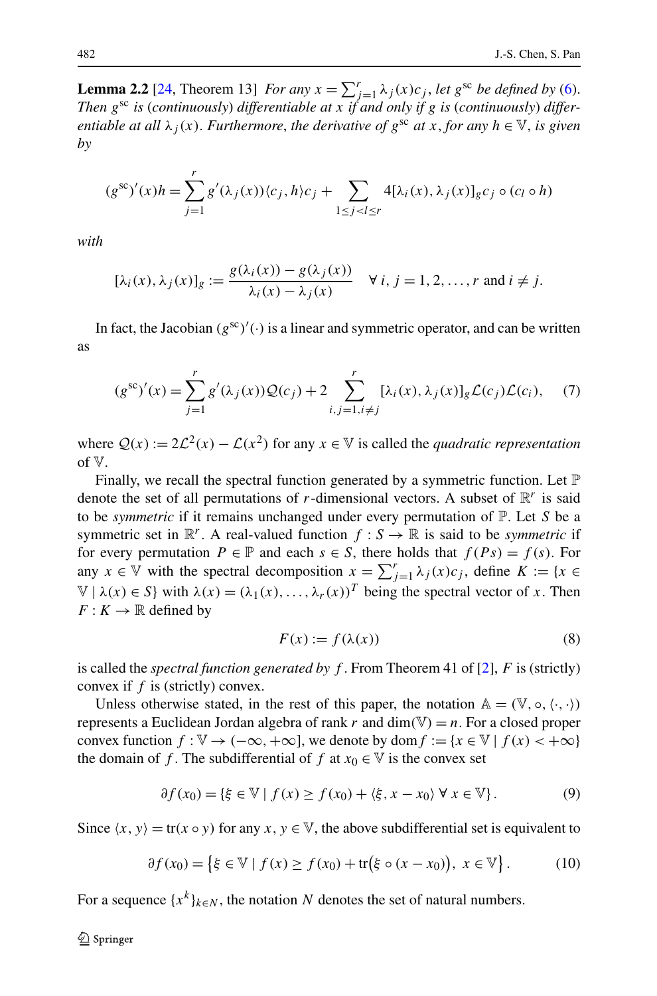<span id="page-5-1"></span>**Lemma 2.2** [\[24](#page-22-13), Theorem 13] *For any*  $x = \sum_{j=1}^{r} \lambda_j(x) c_j$ , *let*  $g^{sc}$  *be defined by* ([6\)](#page-4-0). *Then g*sc *is* (*continuously*) *differentiable at x if and only if g is* (*continuously*) *differentiable at all*  $\lambda_i(x)$ *. Furthermore, the derivative of*  $g^{sc}$  *at x, for any*  $h \in V$ *, is given by*

$$
(g^{\rm sc})'(x)h = \sum_{j=1}^r g'(\lambda_j(x))\langle c_j, h \rangle c_j + \sum_{1 \le j < l \le r} 4[\lambda_i(x), \lambda_j(x)]_g c_j \circ (c_l \circ h)
$$

<span id="page-5-2"></span>*with*

$$
[\lambda_i(x), \lambda_j(x)]_g := \frac{g(\lambda_i(x)) - g(\lambda_j(x))}{\lambda_i(x) - \lambda_j(x)} \quad \forall i, j = 1, 2, ..., r \text{ and } i \neq j.
$$

In fact, the Jacobian  $(g^{sc})'$  ( $\cdot$ ) is a linear and symmetric operator, and can be written as

$$
(g^{\rm sc})'(x) = \sum_{j=1}^{r} g'(\lambda_j(x)) Q(c_j) + 2 \sum_{i,j=1, i \neq j}^{r} [\lambda_i(x), \lambda_j(x)]_g \mathcal{L}(c_j) \mathcal{L}(c_i), \quad (7)
$$

where  $Q(x) := 2\mathcal{L}^2(x) - \mathcal{L}(x^2)$  for any  $x \in \mathbb{V}$  is called the *quadratic representation* of V.

<span id="page-5-0"></span>Finally, we recall the spectral function generated by a symmetric function. Let  $\mathbb P$ denote the set of all permutations of *r*-dimensional vectors. A subset of  $\mathbb{R}^r$  is said to be *symmetric* if it remains unchanged under every permutation of P. Let *S* be a symmetric set in  $\mathbb{R}^r$ . A real-valued function  $f : S \to \mathbb{R}$  is said to be *symmetric* if for every permutation  $P \in \mathbb{P}$  and each  $s \in S$ , there holds that  $f(Ps) = f(s)$ . For any  $x \in V$  with the spectral decomposition  $x = \sum_{j=1}^{r} \lambda_j(x) c_j$ , define  $K := \{x \in V\}$  $V | \lambda(x) \in S$  with  $\lambda(x) = (\lambda_1(x), \dots, \lambda_r(x))^T$  being the spectral vector of *x*. Then  $F: K \to \mathbb{R}$  defined by

$$
F(x) := f(\lambda(x))\tag{8}
$$

is called the *spectral function generated by f* . From Theorem 41 of [\[2](#page-21-9)], *F* is (strictly) convex if *f* is (strictly) convex.

<span id="page-5-3"></span>Unless otherwise stated, in the rest of this paper, the notation  $A = (\mathbb{V}, \circ, \langle \cdot, \cdot \rangle)$ represents a Euclidean Jordan algebra of rank *r* and dim*(*V*)* = *n*. For a closed proper convex function  $f : \mathbb{V} \to (-\infty, +\infty]$ , we denote by dom  $f := \{x \in \mathbb{V} \mid f(x) < +\infty\}$ the domain of *f*. The subdifferential of *f* at  $x_0 \in V$  is the convex set

$$
\partial f(x_0) = \{ \xi \in \mathbb{V} \mid f(x) \ge f(x_0) + \langle \xi, x - x_0 \rangle \; \forall \; x \in \mathbb{V} \}. \tag{9}
$$

Since  $\langle x, y \rangle = \text{tr}(x \circ y)$  for any  $x, y \in \mathbb{V}$ , the above subdifferential set is equivalent to

$$
\partial f(x_0) = \{ \xi \in \mathbb{V} \mid f(x) \ge f(x_0) + \text{tr}(\xi \circ (x - x_0)), \ x \in \mathbb{V} \}.
$$
 (10)

For a sequence  $\{x^k\}_{k \in \mathbb{N}}$ , the notation *N* denotes the set of natural numbers.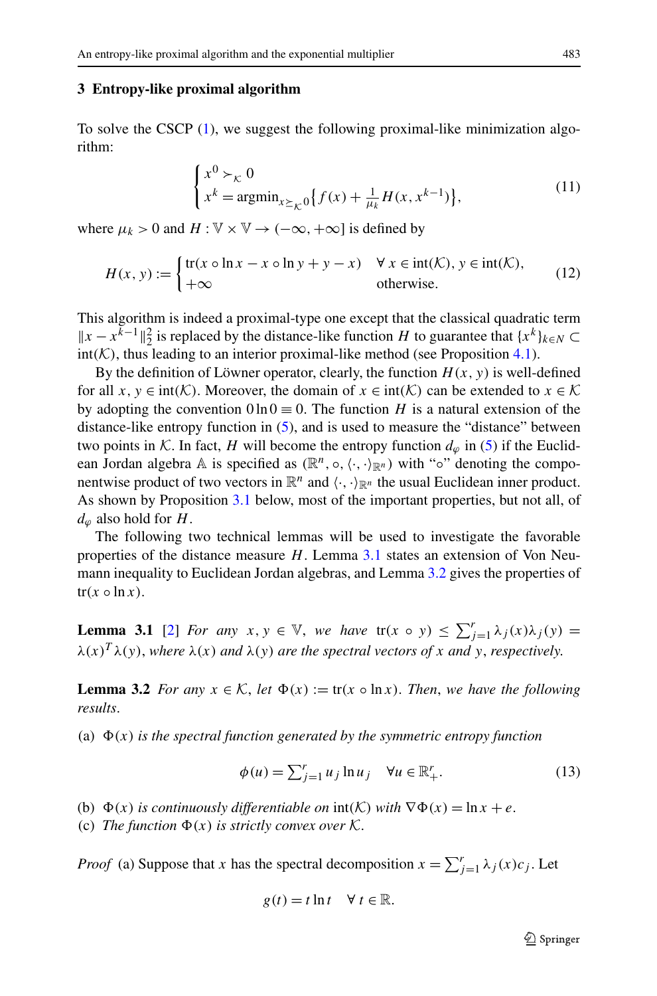## <span id="page-6-4"></span><span id="page-6-0"></span>**3 Entropy-like proximal algorithm**

<span id="page-6-5"></span>To solve the CSCP  $(1)$  $(1)$ , we suggest the following proximal-like minimization algorithm:

$$
\begin{cases} x^{0} \succ_{\mathcal{K}} 0 \\ x^{k} = \operatorname{argmin}_{x \succeq_{\mathcal{K}} 0} \{ f(x) + \frac{1}{\mu_{k}} H(x, x^{k-1}) \}, \end{cases}
$$
(11)

where  $\mu_k > 0$  and  $H : \mathbb{V} \times \mathbb{V} \to (-\infty, +\infty]$  is defined by

$$
H(x, y) := \begin{cases} \text{tr}(x \circ \ln x - x \circ \ln y + y - x) & \forall x \in \text{int}(\mathcal{K}), y \in \text{int}(\mathcal{K}), \\ +\infty & \text{otherwise.} \end{cases}
$$
(12)

This algorithm is indeed a proximal-type one except that the classical quadratic term  $||x - x^{k-1}||_2^2$  is replaced by the distance-like function *H* to guarantee that {*x<sup>k</sup>*}*k*∈*N* ⊂  $int(K)$ , thus leading to an interior proximal-like method (see Proposition [4.1\)](#page-10-1).

By the definition of Löwner operator, clearly, the function  $H(x, y)$  is well-defined for all  $x, y \in \text{int}(\mathcal{K})$ . Moreover, the domain of  $x \in \text{int}(\mathcal{K})$  can be extended to  $x \in \mathcal{K}$ by adopting the convention  $0 \ln 0 \equiv 0$ . The function *H* is a natural extension of the distance-like entropy function in [\(5](#page-2-1)), and is used to measure the "distance" between two points in K. In fact, *H* will become the entropy function  $d_{\varphi}$  in ([5\)](#page-2-1) if the Euclidean Jordan algebra A is specified as  $(\mathbb{R}^n, \circ, \langle \cdot, \cdot \rangle_{\mathbb{R}^n})$  with " $\circ$ " denoting the componentwise product of two vectors in  $\mathbb{R}^n$  and  $\langle \cdot, \cdot \rangle_{\mathbb{R}^n}$  the usual Euclidean inner product. As shown by Proposition [3.1](#page-8-0) below, most of the important properties, but not all, of  $d_{\omega}$  also hold for *H*.

<span id="page-6-2"></span><span id="page-6-1"></span>The following two technical lemmas will be used to investigate the favorable properties of the distance measure *H*. Lemma [3.1](#page-6-1) states an extension of Von Neumann inequality to Euclidean Jordan algebras, and Lemma [3.2](#page-6-2) gives the properties of  $tr(x \circ \ln x)$ .

<span id="page-6-3"></span>**Lemma 3.1** [[2\]](#page-21-9) *For any*  $x, y \in \mathbb{V}$ , *we have*  $tr(x \circ y) \le \sum_{j=1}^{r} \lambda_j(x) \lambda_j(y) =$  $\lambda(x)^T \lambda(y)$ , where  $\lambda(x)$  *and*  $\lambda(y)$  *are the spectral vectors of x and y*, *respectively.* 

**Lemma 3.2** *For any*  $x \in \mathcal{K}$ , *let*  $\Phi(x) := \text{tr}(x \circ \ln x)$ . *Then, we have the following results*.

(a)  $\Phi(x)$  *is the spectral function generated by the symmetric entropy function* 

$$
\phi(u) = \sum_{j=1}^{r} u_j \ln u_j \quad \forall u \in \mathbb{R}_+^r. \tag{13}
$$

(b)  $\Phi(x)$  *is continuously differentiable on*  $\text{int}(\mathcal{K})$  *with*  $\nabla \Phi(x) = \ln x + e$ .

(c) *The function*  $\Phi(x)$  *is strictly convex over* K.

*Proof* (a) Suppose that *x* has the spectral decomposition  $x = \sum_{j=1}^{r} \lambda_j(x) c_j$ . Let

$$
g(t) = t \ln t \quad \forall \ t \in \mathbb{R}.
$$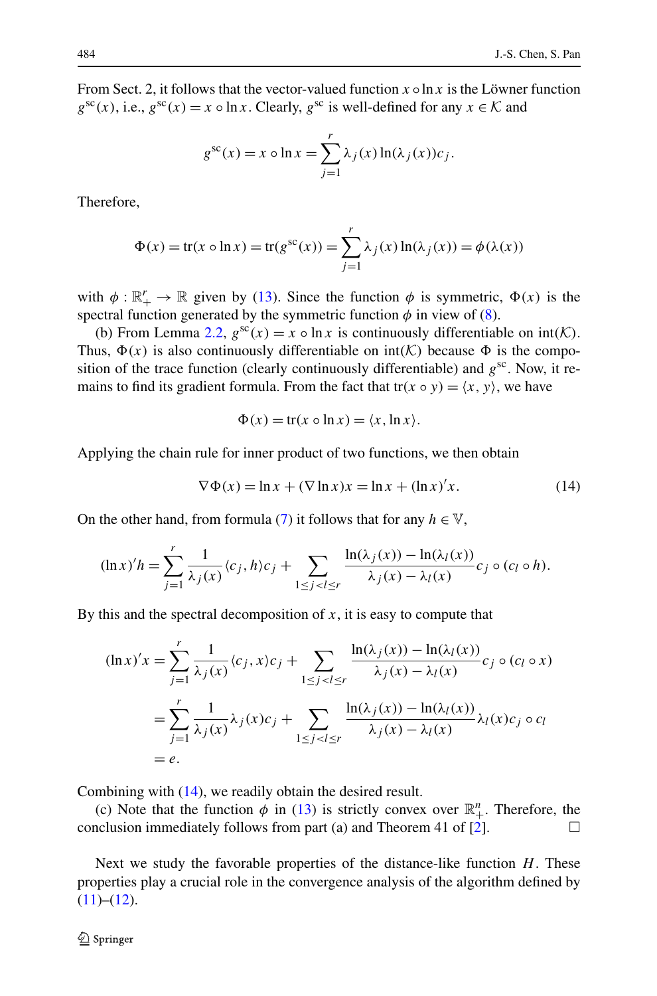From Sect. 2, it follows that the vector-valued function  $x \circ \ln x$  is the Löwner function  $g^{sc}(x)$ , i.e.,  $g^{sc}(x) = x \circ \ln x$ . Clearly,  $g^{sc}$  is well-defined for any  $x \in \mathcal{K}$  and

$$
g^{\rm sc}(x) = x \circ \ln x = \sum_{j=1}^{r} \lambda_j(x) \ln(\lambda_j(x)) c_j.
$$

Therefore,

$$
\Phi(x) = \text{tr}(x \circ \ln x) = \text{tr}(g^{\text{sc}}(x)) = \sum_{j=1}^{r} \lambda_j(x) \ln(\lambda_j(x)) = \phi(\lambda(x))
$$

with  $\phi : \mathbb{R}^r_+ \to \mathbb{R}$  given by [\(13](#page-6-3)). Since the function  $\phi$  is symmetric,  $\Phi(x)$  is the spectral function generated by the symmetric function  $\phi$  in view of [\(8](#page-5-0)).

<span id="page-7-0"></span>(b) From Lemma [2.2](#page-5-1),  $g^{sc}(x) = x \circ \ln x$  is continuously differentiable on  $int(K)$ . Thus,  $\Phi(x)$  is also continuously differentiable on  $int(K)$  because  $\Phi$  is the composition of the trace function (clearly continuously differentiable) and  $g^{sc}$ . Now, it remains to find its gradient formula. From the fact that  $tr(x \circ y) = \langle x, y \rangle$ , we have

$$
\Phi(x) = \text{tr}(x \circ \ln x) = \langle x, \ln x \rangle.
$$

Applying the chain rule for inner product of two functions, we then obtain

$$
\nabla \Phi(x) = \ln x + (\nabla \ln x)x = \ln x + (\ln x)'x.
$$
 (14)

On the other hand, from formula ([7\)](#page-5-2) it follows that for any  $h \in \mathbb{V}$ ,

$$
(\ln x)'h = \sum_{j=1}^r \frac{1}{\lambda_j(x)} \langle c_j, h \rangle c_j + \sum_{1 \le j < l \le r} \frac{\ln(\lambda_j(x)) - \ln(\lambda_l(x))}{\lambda_j(x) - \lambda_l(x)} c_j \circ (c_l \circ h).
$$

By this and the spectral decomposition of  $x$ , it is easy to compute that

$$
(\ln x)'x = \sum_{j=1}^r \frac{1}{\lambda_j(x)} \langle c_j, x \rangle c_j + \sum_{1 \le j < l \le r} \frac{\ln(\lambda_j(x)) - \ln(\lambda_l(x))}{\lambda_j(x) - \lambda_l(x)} c_j \circ (c_l \circ x)
$$
\n
$$
= \sum_{j=1}^r \frac{1}{\lambda_j(x)} \lambda_j(x) c_j + \sum_{1 \le j < l \le r} \frac{\ln(\lambda_j(x)) - \ln(\lambda_l(x))}{\lambda_j(x) - \lambda_l(x)} \lambda_l(x) c_j \circ c_l
$$
\n
$$
= e.
$$

Combining with ([14\)](#page-7-0), we readily obtain the desired result.

(c) Note that the function  $\phi$  in ([13\)](#page-6-3) is strictly convex over  $\mathbb{R}^n_+$ . Therefore, the conclusion immediately follows from part (a) and Theorem 41 of [\[2](#page-21-9)].  $\Box$ 

Next we study the favorable properties of the distance-like function *H*. These properties play a crucial role in the convergence analysis of the algorithm defined by  $(11)–(12)$  $(11)–(12)$  $(11)–(12)$ .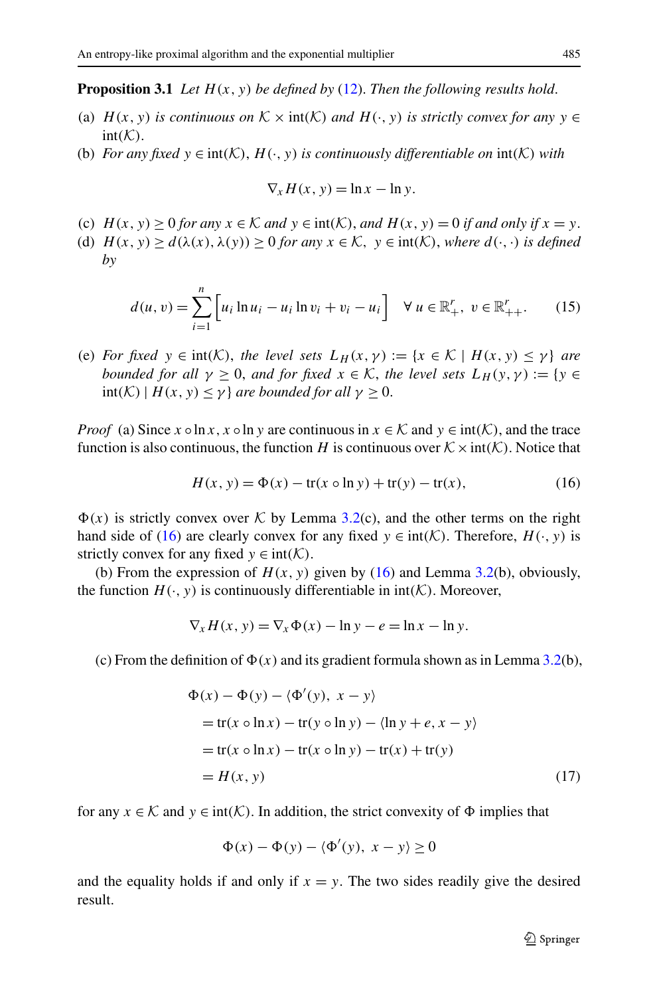#### <span id="page-8-0"></span>**Proposition 3.1** *Let*  $H(x, y)$  *be defined by* [\(12](#page-6-5)). *Then the following results hold.*

- (a)  $H(x, y)$  *is continuous on*  $K \times \text{int}(K)$  *and*  $H(\cdot, y)$  *is strictly convex for any*  $y \in$  $int(K)$ .
- <span id="page-8-2"></span>(b) *For any fixed*  $y \in \text{int}(\mathcal{K})$ ,  $H(\cdot, y)$  *is continuously differentiable on*  $\text{int}(\mathcal{K})$  *with*

$$
\nabla_x H(x, y) = \ln x - \ln y.
$$

- (c)  $H(x, y) > 0$  *for any*  $x \in \mathcal{K}$  *and*  $y \in \text{int}(\mathcal{K})$ *, and*  $H(x, y) = 0$  *if and only if*  $x = y$ .
- (d)  $H(x, y) \ge d(\lambda(x), \lambda(y)) \ge 0$  *for any*  $x \in \mathcal{K}$ ,  $y \in \text{int}(\mathcal{K})$ *, where*  $d(\cdot, \cdot)$  *is defined by*

$$
d(u, v) = \sum_{i=1}^{n} \left[ u_i \ln u_i - u_i \ln v_i + v_i - u_i \right] \quad \forall \ u \in \mathbb{R}^r_+, \ v \in \mathbb{R}^r_{++}.
$$
 (15)

<span id="page-8-1"></span>(e) *For fixed*  $y \in \text{int}(\mathcal{K})$ , *the level sets*  $L_H(x, y) := \{x \in \mathcal{K} \mid H(x, y) \leq y\}$  *are bounded for all*  $\gamma \geq 0$ , *and for fixed*  $x \in \mathcal{K}$ , *the level sets*  $L_H(y, \gamma) := \{y \in$  $int(K) | H(x, y) \leq \gamma$  *are bounded for all*  $\gamma \geq 0$ .

*Proof* (a) Since  $x \circ \ln x$ ,  $x \circ \ln y$  are continuous in  $x \in \mathcal{K}$  and  $y \in \text{int}(\mathcal{K})$ , and the trace function is also continuous, the function *H* is continuous over  $K \times \text{int}(K)$ . Notice that

$$
H(x, y) = \Phi(x) - \text{tr}(x \circ \ln y) + \text{tr}(y) - \text{tr}(x), \tag{16}
$$

 $\Phi(x)$  is strictly convex over K by Lemma [3.2](#page-6-2)(c), and the other terms on the right hand side of [\(16](#page-8-1)) are clearly convex for any fixed  $y \in \text{int}(\mathcal{K})$ . Therefore,  $H(\cdot, y)$  is strictly convex for any fixed  $y \in \text{int}(\mathcal{K})$ .

(b) From the expression of  $H(x, y)$  given by [\(16](#page-8-1)) and Lemma [3.2](#page-6-2)(b), obviously, the function  $H(\cdot, y)$  is continuously differentiable in  $int(\mathcal{K})$ . Moreover,

$$
\nabla_x H(x, y) = \nabla_x \Phi(x) - \ln y - e = \ln x - \ln y.
$$

(c) From the definition of  $\Phi(x)$  and its gradient formula shown as in Lemma [3.2\(](#page-6-2)b),

$$
\Phi(x) - \Phi(y) - \langle \Phi'(y), x - y \rangle
$$
  
= tr(x o ln x) - tr(y o ln y) - \langle ln y + e, x - y \rangle  
= tr(x o ln x) - tr(x o ln y) - tr(x) + tr(y)  
= H(x, y) (17)

for any  $x \in \mathcal{K}$  and  $y \in \text{int}(\mathcal{K})$ . In addition, the strict convexity of  $\Phi$  implies that

$$
\Phi(x) - \Phi(y) - \langle \Phi'(y), x - y \rangle \ge 0
$$

and the equality holds if and only if  $x = y$ . The two sides readily give the desired result.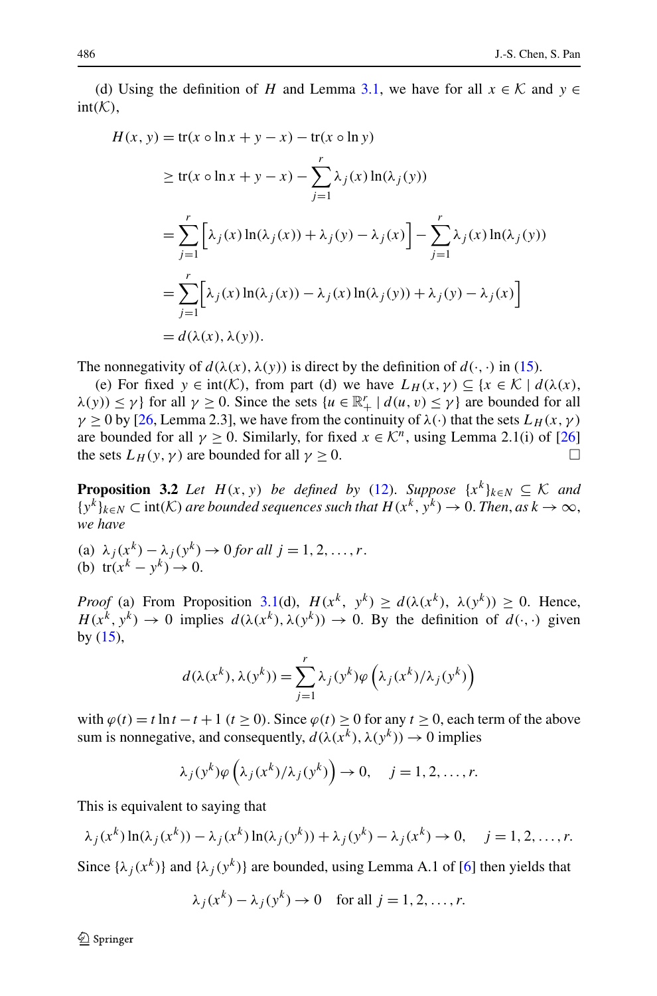(d) Using the definition of *H* and Lemma [3.1](#page-6-1), we have for all  $x \in \mathcal{K}$  and  $y \in$  $int(K)$ ,

$$
H(x, y) = tr(x \circ \ln x + y - x) - tr(x \circ \ln y)
$$
  
\n
$$
\geq tr(x \circ \ln x + y - x) - \sum_{j=1}^{r} \lambda_j(x) \ln(\lambda_j(y))
$$
  
\n
$$
= \sum_{j=1}^{r} \left[ \lambda_j(x) \ln(\lambda_j(x)) + \lambda_j(y) - \lambda_j(x) \right] - \sum_{j=1}^{r} \lambda_j(x) \ln(\lambda_j(y))
$$
  
\n
$$
= \sum_{j=1}^{r} \left[ \lambda_j(x) \ln(\lambda_j(x)) - \lambda_j(x) \ln(\lambda_j(y)) + \lambda_j(y) - \lambda_j(x) \right]
$$
  
\n
$$
= d(\lambda(x), \lambda(y)).
$$

<span id="page-9-0"></span>The nonnegativity of  $d(\lambda(x), \lambda(y))$  is direct by the definition of  $d(\cdot, \cdot)$  in [\(15](#page-8-2)).

(e) For fixed  $y \in \text{int}(\mathcal{K})$ , from part (d) we have  $L_H(x, y) \subseteq \{x \in \mathcal{K} \mid d(\lambda(x)),$  $\lambda(y)$   $\leq \gamma$ } for all  $\gamma \geq 0$ . Since the sets  $\{u \in \mathbb{R}^r_+ \mid d(u,v) \leq \gamma\}$  are bounded for all  $\gamma \ge 0$  by [[26,](#page-22-11) Lemma 2.3], we have from the continuity of  $\lambda(\cdot)$  that the sets  $L_H(x, \gamma)$ are bounded for all  $\gamma \ge 0$ . Similarly, for fixed  $x \in \mathcal{K}^n$ , using Lemma 2.1(i) of [\[26](#page-22-11)] the sets  $L_H(y, \gamma)$  are bounded for all  $\gamma \ge 0$ .

**Proposition 3.2** *Let*  $H(x, y)$  *be defined by* [\(12](#page-6-5)). *Suppose*  $\{x^k\}_{k \in N} \subseteq K$  *and*  $\{y^k\}_{k\in\mathbb{N}}\subset\text{int}(\mathcal{K})$  are bounded sequences such that  $H(x^k, y^k)\to 0$ . Then, as  $k\to\infty$ , *we have*

(a)  $\lambda_j(x^k) - \lambda_j(y^k) \rightarrow 0$  *for all*  $j = 1, 2, ..., r$ . (b)  $tr(x^k - y^k) \to 0$ .

*Proof* (a) From Proposition [3.1\(](#page-8-0)d),  $H(x^k, y^k) \ge d(\lambda(x^k), \lambda(y^k)) \ge 0$ . Hence,  $H(x^k, y^k) \to 0$  implies  $d(\lambda(x^k), \lambda(y^k)) \to 0$ . By the definition of  $d(\cdot, \cdot)$  given by  $(15)$  $(15)$ ,

$$
d(\lambda(x^{k}), \lambda(y^{k})) = \sum_{j=1}^{r} \lambda_{j}(y^{k}) \varphi\left(\lambda_{j}(x^{k})/\lambda_{j}(y^{k})\right)
$$

with  $\varphi(t) = t \ln t - t + 1$  ( $t \ge 0$ ). Since  $\varphi(t) \ge 0$  for any  $t \ge 0$ , each term of the above sum is nonnegative, and consequently,  $d(\lambda(x^k), \lambda(y^k)) \to 0$  implies

$$
\lambda_j(y^k)\varphi\left(\lambda_j(x^k)/\lambda_j(y^k)\right)\to 0, \quad j=1,2,\ldots,r.
$$

This is equivalent to saying that

$$
\lambda_j(x^k) \ln(\lambda_j(x^k)) - \lambda_j(x^k) \ln(\lambda_j(y^k)) + \lambda_j(y^k) - \lambda_j(x^k) \to 0, \quad j = 1, 2, \dots, r.
$$

Since  $\{\lambda_i(x^k)\}\$  and  $\{\lambda_i(y^k)\}\$  are bounded, using Lemma A.1 of [\[6](#page-21-10)] then yields that

$$
\lambda_j(x^k) - \lambda_j(y^k) \to 0 \quad \text{for all } j = 1, 2, \dots, r.
$$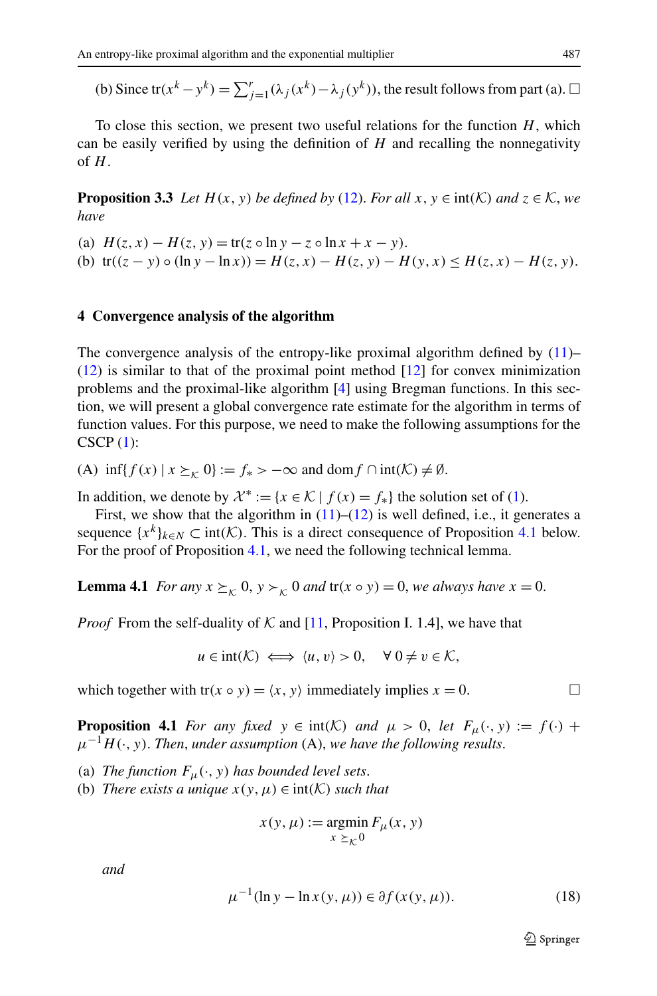<span id="page-10-4"></span>(b) Since tr( $x^k - y^k$ ) =  $\sum_{j=1}^r (\lambda_j(x^k) - \lambda_j(y^k))$ , the result follows from part (a).  $\Box$ 

To close this section, we present two useful relations for the function  $H$ , which can be easily verified by using the definition of *H* and recalling the nonnegativity of *H*.

<span id="page-10-0"></span>**Proposition 3.3** *Let*  $H(x, y)$  *be defined by* ([12\)](#page-6-5). *For all*  $x, y \in \text{int}(\mathcal{K})$  *and*  $z \in \mathcal{K}$ *, we have*

(a)  $H(z, x) - H(z, y) = \text{tr}(z \circ \ln y - z \circ \ln x + x - y).$ (b)  $tr((z - y) \circ (ln y - ln x)) = H(z, x) - H(z, y) - H(y, x) \leq H(z, x) - H(z, y).$ 

#### **4 Convergence analysis of the algorithm**

The convergence analysis of the entropy-like proximal algorithm defined by  $(11)$  $(11)$ –  $(12)$  $(12)$  is similar to that of the proximal point method  $[12]$  $[12]$  for convex minimization problems and the proximal-like algorithm [\[4](#page-21-12)] using Bregman functions. In this section, we will present a global convergence rate estimate for the algorithm in terms of function values. For this purpose, we need to make the following assumptions for the  $CSCP(1):$  $CSCP(1):$  $CSCP(1):$ 

<span id="page-10-2"></span>(A)  $\inf\{f(x) \mid x \succeq_{r} 0\} := f_{*} > -\infty$  and dom  $f \cap \text{int}(\mathcal{K}) \neq \emptyset$ .

In addition, we denote by  $\mathcal{X}^* := \{x \in \mathcal{K} \mid f(x) = f^*\}\$  the solution set of ([1\)](#page-1-1).

First, we show that the algorithm in  $(11)–(12)$  $(11)–(12)$  $(11)–(12)$  $(11)–(12)$  $(11)–(12)$  is well defined, i.e., it generates a sequence  $\{x^k\}_{k \in N} \subset \text{int}(\mathcal{K})$ . This is a direct consequence of Proposition [4.1](#page-10-1) below. For the proof of Proposition [4.1](#page-10-1), we need the following technical lemma.

<span id="page-10-1"></span>**Lemma 4.1** *For any*  $x \succeq_K 0$ ,  $y \succ_K 0$  *and*  $tr(x \circ y) = 0$ , *we always have*  $x = 0$ .

*Proof* From the self-duality of  $K$  and [\[11](#page-21-8), Proposition I. 1.4], we have that

$$
u \in \text{int}(\mathcal{K}) \iff \langle u, v \rangle > 0, \quad \forall \ 0 \neq v \in \mathcal{K},
$$

which together with tr( $x \circ y$ ) =  $\langle x, y \rangle$  immediately implies  $x = 0$ .

**Proposition 4.1** *For any fixed*  $y \in \text{int}(\mathcal{K})$  *and*  $\mu > 0$ , *let*  $F_\mu(\cdot, y) := f(\cdot) + f(\cdot)$  $\mu^{-1}H(\cdot, y)$ . *Then, under assumption* (A), we have the following results.

- <span id="page-10-3"></span>(a) *The function*  $F_{\mu}(\cdot, y)$  *has bounded level sets.*
- (b) *There exists a unique*  $x(y, \mu) \in \text{int}(\mathcal{K})$  *such that*

$$
x(y, \mu) := \operatorname*{argmin}_{x \succeq_{\mathcal{K}} 0} F_{\mu}(x, y)
$$

*and*

$$
\mu^{-1}(\ln y - \ln x(y, \mu)) \in \partial f(x(y, \mu)).
$$
\n(18)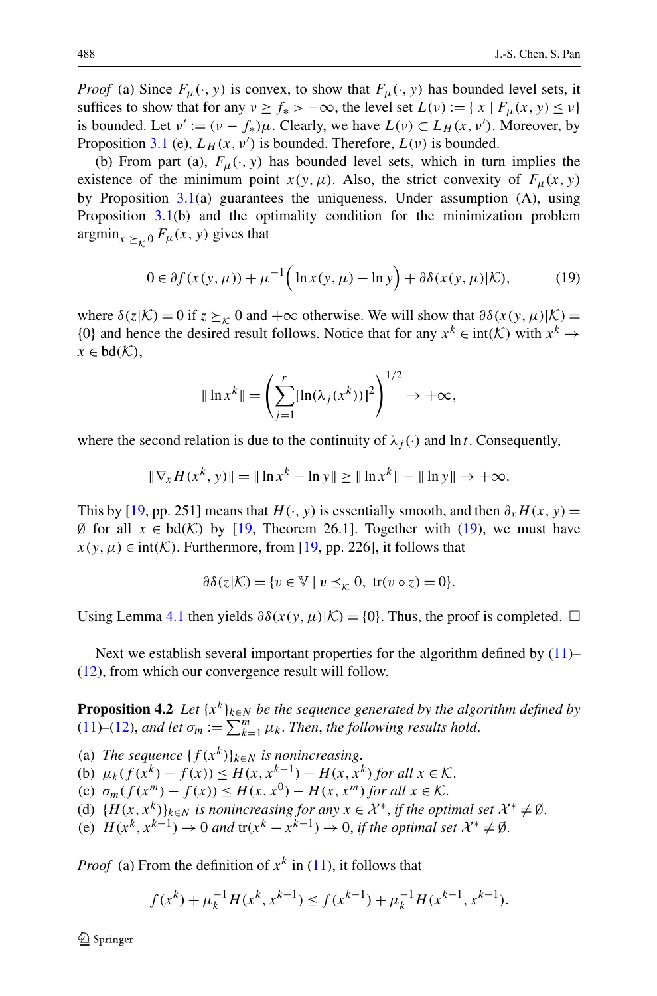*Proof* (a) Since  $F_\mu(\cdot, y)$  is convex, to show that  $F_\mu(\cdot, y)$  has bounded level sets, it suffices to show that for any  $\nu \ge f_*$  >  $-\infty$ , the level set  $L(\nu) := \{ x \mid F_\mu(x, y) \le \nu \}$ is bounded. Let  $v' := (v - f_*)\mu$ . Clearly, we have  $L(v) \subset L_H(x, v')$ . Moreover, by Proposition [3.1](#page-8-0) (e),  $L_H(x, v')$  is bounded. Therefore,  $L(v)$  is bounded.

<span id="page-11-0"></span>(b) From part (a),  $F_{\mu}(\cdot, y)$  has bounded level sets, which in turn implies the existence of the minimum point  $x(y, \mu)$ . Also, the strict convexity of  $F_{\mu}(x, y)$ by Proposition  $3.1(a)$  $3.1(a)$  guarantees the uniqueness. Under assumption  $(A)$ , using Proposition [3.1\(](#page-8-0)b) and the optimality condition for the minimization problem  $argmin_{x \geq r, 0} F_{\mu}(x, y)$  gives that

$$
0 \in \partial f(x(y,\mu)) + \mu^{-1} \Big( \ln x(y,\mu) - \ln y \Big) + \partial \delta(x(y,\mu)|\mathcal{K}),\tag{19}
$$

where  $\delta(z|K) = 0$  if  $z \succeq_K 0$  and  $+\infty$  otherwise. We will show that  $\partial \delta(x(y, \mu)|K) =$ {0} and hence the desired result follows. Notice that for any  $x^k \in \text{int}(\mathcal{K})$  with  $x^k \to$  $x \in bd(\mathcal{K}),$ 

$$
\| \ln x^{k} \| = \left( \sum_{j=1}^{r} [\ln(\lambda_{j}(x^{k}))]^{2} \right)^{1/2} \to +\infty,
$$

where the second relation is due to the continuity of  $\lambda_i(\cdot)$  and ln *t*. Consequently,

$$
\|\nabla_x H(x^k, y)\| = \|\ln x^k - \ln y\| \ge \|\ln x^k\| - \|\ln y\| \to +\infty.
$$

This by [\[19](#page-22-14), pp. 251] means that *H(·,y)* is essentially smooth, and then  $\partial_x H(x, y) =$ ∅ for all *x* ∈ bd*(*K*)* by [[19,](#page-22-14) Theorem 26.1]. Together with ([19\)](#page-11-0), we must have  $x(y, \mu) \in \text{int}(\mathcal{K})$ . Furthermore, from [\[19](#page-22-14), pp. 226], it follows that

$$
\partial \delta(z|\mathcal{K}) = \{ v \in \mathbb{V} \mid v \leq_{\mathcal{K}} 0, \text{ tr}(v \circ z) = 0 \}.
$$

<span id="page-11-1"></span>Using Lemma [4.1](#page-10-2) then yields  $\partial \delta(x(y, \mu)|K) = \{0\}$ . Thus, the proof is completed.  $\Box$ 

Next we establish several important properties for the algorithm defined by  $(11)$  $(11)$ – [\(12](#page-6-5)), from which our convergence result will follow.

**Proposition 4.2** *Let* {*xk*}*k*∈*<sup>N</sup> be the sequence generated by the algorithm defined by* [\(11](#page-6-4))–([12\)](#page-6-5), and let  $\sigma_m := \sum_{k=1}^m \mu_k$ . Then, the following results hold.

(a) *The sequence*  $\{f(x^k)\}_{k \in N}$  *is nonincreasing.* (b)  $\mu_k(f(x^k) - f(x)) \leq H(x, x^{k-1}) - H(x, x^k)$  *for all*  $x \in \mathcal{K}$ . (c)  $\sigma_m(f(x^m) - f(x)) \leq H(x, x^0) - H(x, x^m)$  *for all*  $x \in \mathcal{K}$ . (d)  $\{H(x, x^k)\}_{k \in \mathbb{N}}$  *is nonincreasing for any*  $x \in \mathcal{X}^*$ *, if the optimal set*  $\mathcal{X}^* \neq \emptyset$ *.* (e)  $H(x^k, x^{k-1}) \to 0$  and  $tr(x^k - x^{k-1}) \to 0$ , if the optimal set  $\mathcal{X}^* \neq \emptyset$ .

*Proof* (a) From the definition of  $x^k$  in ([11\)](#page-6-4), it follows that

$$
f(x^{k}) + \mu_{k}^{-1} H(x^{k}, x^{k-1}) \le f(x^{k-1}) + \mu_{k}^{-1} H(x^{k-1}, x^{k-1}).
$$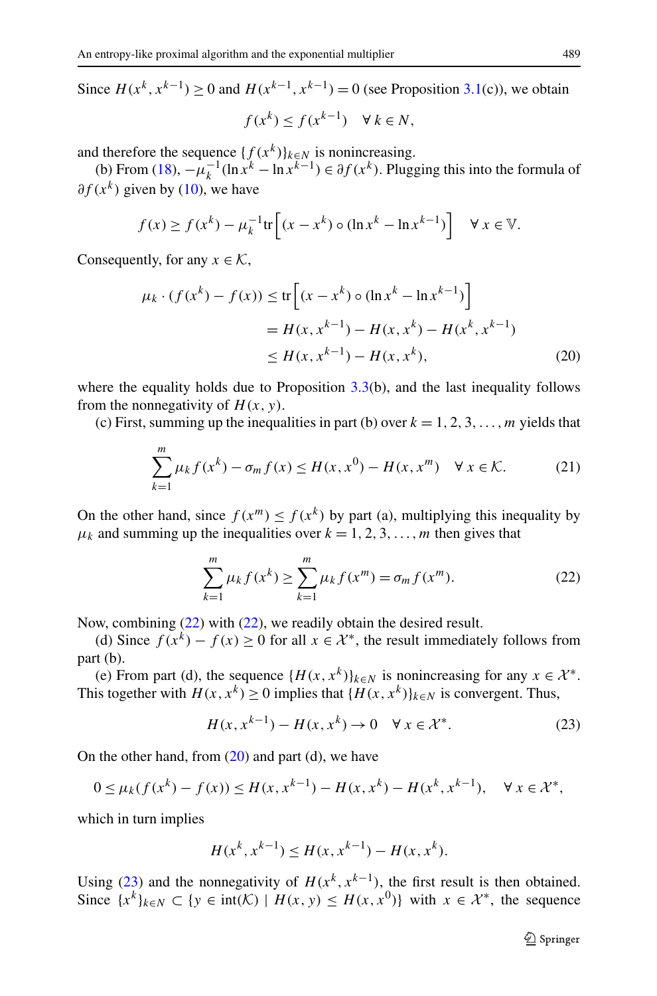Since *H*( $x^k$ , $x^{k-1}$ ) ≥ 0 and *H*( $x^{k-1}$ , $x^{k-1}$ ) = 0 (see Proposition [3.1\(](#page-8-0)c)), we obtain

$$
f(x^k) \le f(x^{k-1}) \quad \forall \, k \in N,
$$

and therefore the sequence  $\{f(x^k)\}_{k \in N}$  is nonincreasing.

<span id="page-12-1"></span>(b) From [\(18](#page-10-3)),  $-\mu_k^{-1}(\ln x^k - \ln x^{k-1}) \in \partial f(x^k)$ . Plugging this into the formula of *∂f (xk)* given by ([10\)](#page-5-3), we have

$$
f(x) \ge f(x^k) - \mu_k^{-1} \text{tr}\left[ (x - x^k) \circ (\ln x^k - \ln x^{k-1}) \right] \quad \forall \ x \in \mathbb{V}.
$$

Consequently, for any  $x \in \mathcal{K}$ ,

$$
\mu_k \cdot (f(x^k) - f(x)) \le \text{tr}\left[ (x - x^k) \circ (\ln x^k - \ln x^{k-1}) \right]
$$
  
=  $H(x, x^{k-1}) - H(x, x^k) - H(x^k, x^{k-1})$   
 $\le H(x, x^{k-1}) - H(x, x^k),$  (20)

where the equality holds due to Proposition  $3.3(b)$  $3.3(b)$ , and the last inequality follows from the nonnegativity of  $H(x, y)$ .

<span id="page-12-0"></span>(c) First, summing up the inequalities in part (b) over  $k = 1, 2, 3, \ldots, m$  yields that

$$
\sum_{k=1}^{m} \mu_k f(x^k) - \sigma_m f(x) \le H(x, x^0) - H(x, x^m) \quad \forall \, x \in \mathcal{K}.
$$
 (21)

On the other hand, since  $f(x^m) \le f(x^k)$  by part (a), multiplying this inequality by  $\mu_k$  and summing up the inequalities over  $k = 1, 2, 3, \ldots, m$  then gives that

$$
\sum_{k=1}^{m} \mu_k f(x^k) \ge \sum_{k=1}^{m} \mu_k f(x^m) = \sigma_m f(x^m).
$$
 (22)

<span id="page-12-2"></span>Now, combining ([22\)](#page-12-0) with ([22\)](#page-12-0), we readily obtain the desired result.

(d) Since  $f(x^k) - f(x) > 0$  for all  $x \in \mathcal{X}^*$ , the result immediately follows from part (b).

(e) From part (d), the sequence  ${H(x, x^k)}_{k \in N}$  is nonincreasing for any  $x \in \mathcal{X}^*$ . This together with  $H(x, x^k) > 0$  implies that  $\{H(x, x^k)\}_{k \in \mathbb{N}}$  is convergent. Thus,

$$
H(x, x^{k-1}) - H(x, x^k) \to 0 \quad \forall x \in \mathcal{X}^*.
$$
 (23)

On the other hand, from  $(20)$  $(20)$  and part  $(d)$ , we have

$$
0 \le \mu_k(f(x^k) - f(x)) \le H(x, x^{k-1}) - H(x, x^k) - H(x^k, x^{k-1}), \quad \forall x \in \mathcal{X}^*,
$$

which in turn implies

$$
H(x^{k}, x^{k-1}) \le H(x, x^{k-1}) - H(x, x^{k}).
$$

Using ([23\)](#page-12-2) and the nonnegativity of  $H(x^k, x^{k-1})$ , the first result is then obtained. Since  ${x^k}_{k \in N} \subset {y \in \text{int}(\mathcal{K}) \mid H(x, y) \leq H(x, x^0)}$  with  $x \in \mathcal{X}^*$ , the sequence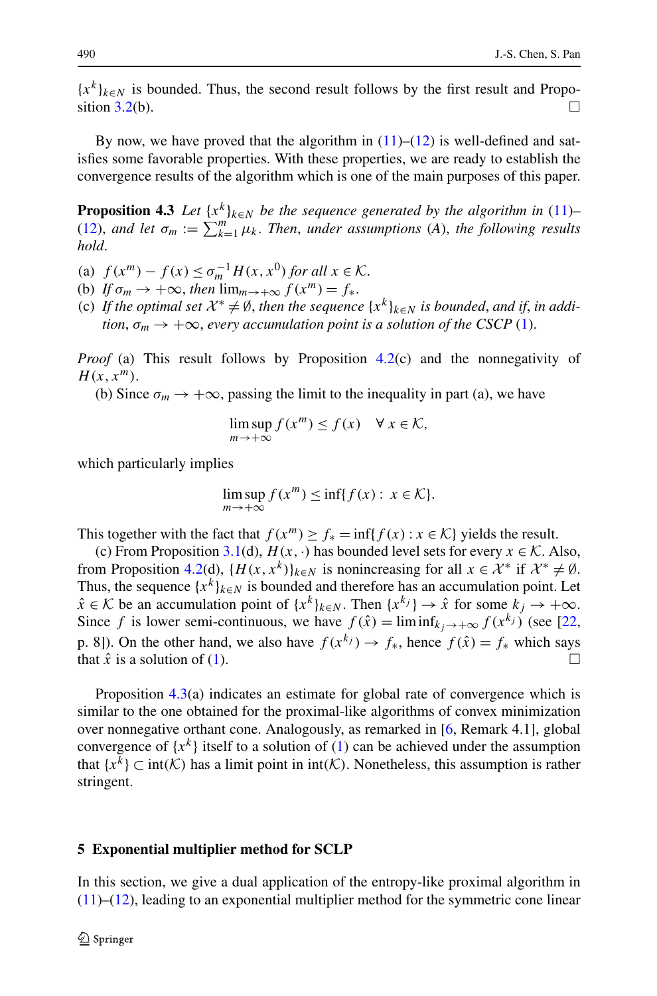<span id="page-13-1"></span> ${x^k}_{k \in N}$  is bounded. Thus, the second result follows by the first result and Propo-sition [3.2\(](#page-9-0)b).  $\Box$ 

By now, we have proved that the algorithm in  $(11)–(12)$  $(11)–(12)$  $(11)–(12)$  is well-defined and satisfies some favorable properties. With these properties, we are ready to establish the convergence results of the algorithm which is one of the main purposes of this paper.

**Proposition 4.3** *Let*  $\{x^k\}_{k\in\mathbb{N}}$  *be the sequence generated by the algorithm in* [\(11](#page-6-4))– [\(12](#page-6-5)), and let  $\sigma_m := \sum_{k=1}^m \mu_k$ . Then, under assumptions (A), the following results *hold*.

- (a)  $f(x^m) f(x) \leq \sigma_m^{-1} H(x, x^0)$  *for all*  $x \in \mathcal{K}$ .
- (b) *If*  $\sigma_m \to +\infty$ , *then*  $\lim_{m\to+\infty} f(x^m) = f_*$ .
- (c) If the optimal set  $\mathcal{X}^* \neq \emptyset$ , then the sequence  $\{x^k\}_{k \in \mathbb{N}}$  is bounded, and if, in addi*tion*,  $\sigma_m \to +\infty$ , *every accumulation point is a solution of the CSCP* ([1\)](#page-1-1).

*Proof* (a) This result follows by Proposition [4.2](#page-11-1)(c) and the nonnegativity of  $H(x, x^m)$ .

(b) Since  $\sigma_m \to +\infty$ , passing the limit to the inequality in part (a), we have

$$
\limsup_{m \to +\infty} f(x^m) \le f(x) \quad \forall \ x \in \mathcal{K},
$$

which particularly implies

$$
\limsup_{m \to +\infty} f(x^m) \le \inf\{f(x) : x \in \mathcal{K}\}.
$$

This together with the fact that  $f(x^m) \ge f_* = \inf\{f(x) : x \in \mathcal{K}\}\$  yields the result.

(c) From Proposition [3.1\(](#page-8-0)d),  $H(x, \cdot)$  has bounded level sets for every  $x \in \mathcal{K}$ . Also, from Proposition [4.2\(](#page-11-1)d),  $\{H(x, x^k)\}_{k \in \mathbb{N}}$  is nonincreasing for all  $x \in \mathcal{X}^*$  if  $\mathcal{X}^* \neq \emptyset$ . Thus, the sequence  $\{x^k\}_{k \in N}$  is bounded and therefore has an accumulation point. Let  $\hat{x} \in \mathcal{K}$  be an accumulation point of  $\{x^k\}_{k \in \mathbb{N}}$ . Then  $\{x^{k_j}\} \to \hat{x}$  for some  $k_j \to +\infty$ . Since *f* is lower semi-continuous, we have  $f(\hat{x}) = \liminf_{k_i \to +\infty} f(x^{k_j})$  (see [\[22](#page-22-15), p. 8]). On the other hand, we also have  $f(x^{k_j}) \rightarrow f_*$ , hence  $f(\hat{x}) = f_*$  which says that  $\hat{x}$  is a solution of [\(1](#page-1-1)).

<span id="page-13-0"></span>Proposition [4.3\(](#page-13-1)a) indicates an estimate for global rate of convergence which is similar to the one obtained for the proximal-like algorithms of convex minimization over nonnegative orthant cone. Analogously, as remarked in [\[6](#page-21-10), Remark 4.1], global convergence of  $\{x^k\}$  itself to a solution of [\(1](#page-1-1)) can be achieved under the assumption that  ${x<sup>k</sup>}$  ⊂ int(K) has a limit point in int(K). Nonetheless, this assumption is rather stringent.

#### **5 Exponential multiplier method for SCLP**

In this section, we give a dual application of the entropy-like proximal algorithm in  $(11)$  $(11)$ – $(12)$  $(12)$ , leading to an exponential multiplier method for the symmetric cone linear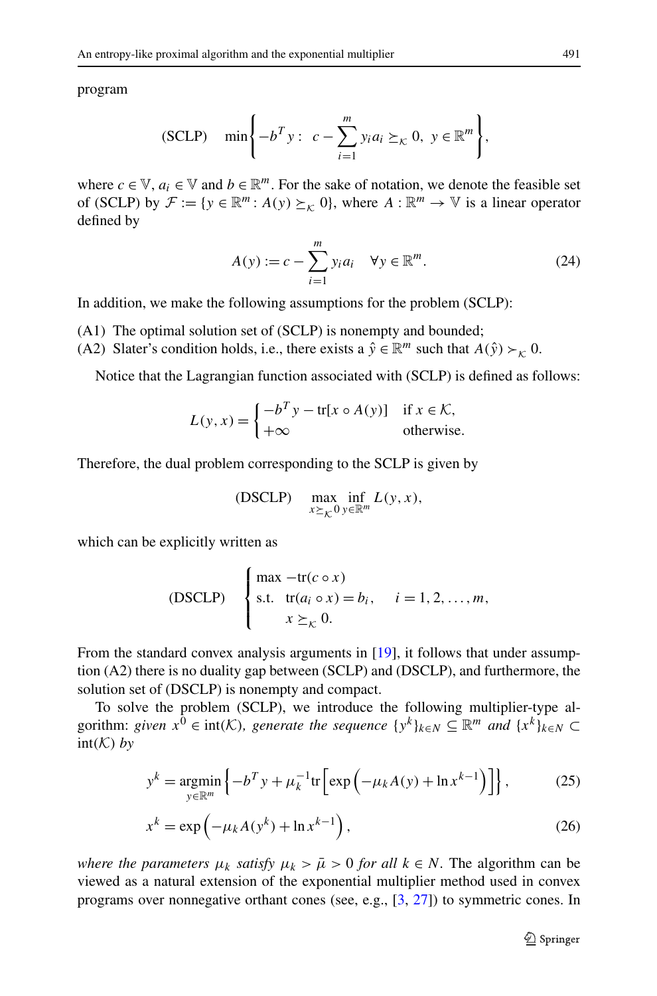program

$$
\text{(SCLP)} \quad \min\left\{-b^T y: \ c - \sum_{i=1}^m y_i a_i \succeq_{\mathcal{K}} 0, \ y \in \mathbb{R}^m\right\},\
$$

where  $c \in \mathbb{V}$ ,  $a_i \in \mathbb{V}$  and  $b \in \mathbb{R}^m$ . For the sake of notation, we denote the feasible set of (SCLP) by  $\mathcal{F} := \{y \in \mathbb{R}^m : A(y) \succeq_K 0\}$ , where  $A : \mathbb{R}^m \to \mathbb{V}$  is a linear operator defined by

$$
A(y) := c - \sum_{i=1}^{m} y_i a_i \quad \forall y \in \mathbb{R}^m.
$$
 (24)

In addition, we make the following assumptions for the problem (SCLP):

- (A1) The optimal solution set of (SCLP) is nonempty and bounded;
- (A2) Slater's condition holds, i.e., there exists a  $\hat{y} \in \mathbb{R}^m$  such that  $A(\hat{y}) \succ_k 0$ .

Notice that the Lagrangian function associated with (SCLP) is defined as follows:

$$
L(y, x) = \begin{cases} -b^T y - tr[x \circ A(y)] & \text{if } x \in \mathcal{K}, \\ +\infty & \text{otherwise.} \end{cases}
$$

Therefore, the dual problem corresponding to the SCLP is given by

(DSCLP) 
$$
\max_{x \succeq_{\mathcal{K}} 0} \inf_{y \in \mathbb{R}^m} L(y, x),
$$

which can be explicitly written as

(DSCLP) 
$$
\begin{cases} \max -\text{tr}(c \circ x) \\ \text{s.t.} \quad \text{tr}(a_i \circ x) = b_i, \quad i = 1, 2, ..., m, \\ x \succeq_{\mathcal{K}} 0. \end{cases}
$$

<span id="page-14-0"></span>From the standard convex analysis arguments in [\[19](#page-22-14)], it follows that under assumption (A2) there is no duality gap between (SCLP) and (DSCLP), and furthermore, the solution set of (DSCLP) is nonempty and compact.

To solve the problem (SCLP), we introduce the following multiplier-type algorithm: *given*  $x^0 \in \text{int}(\mathcal{K})$ *, generate the sequence*  $\{y^k\}_{k \in \mathbb{N}} \subseteq \mathbb{R}^m$  *and*  $\{x^k\}_{k \in \mathbb{N}} \subseteq$  $int(K)$  *by* 

<span id="page-14-1"></span>
$$
y^{k} = \underset{y \in \mathbb{R}^{m}}{\operatorname{argmin}} \left\{-b^{T}y + \mu_{k}^{-1} \text{tr}\left[\exp\left(-\mu_{k}A(y) + \ln x^{k-1}\right)\right]\right\},\tag{25}
$$

$$
x^{k} = \exp\left(-\mu_{k}A(y^{k}) + \ln x^{k-1}\right),\tag{26}
$$

*where the parameters*  $\mu_k$  *satisfy*  $\mu_k > \bar{\mu} > 0$  *for all*  $k \in N$ . The algorithm can be viewed as a natural extension of the exponential multiplier method used in convex programs over nonnegative orthant cones (see, e.g., [[3,](#page-21-6) [27](#page-22-0)]) to symmetric cones. In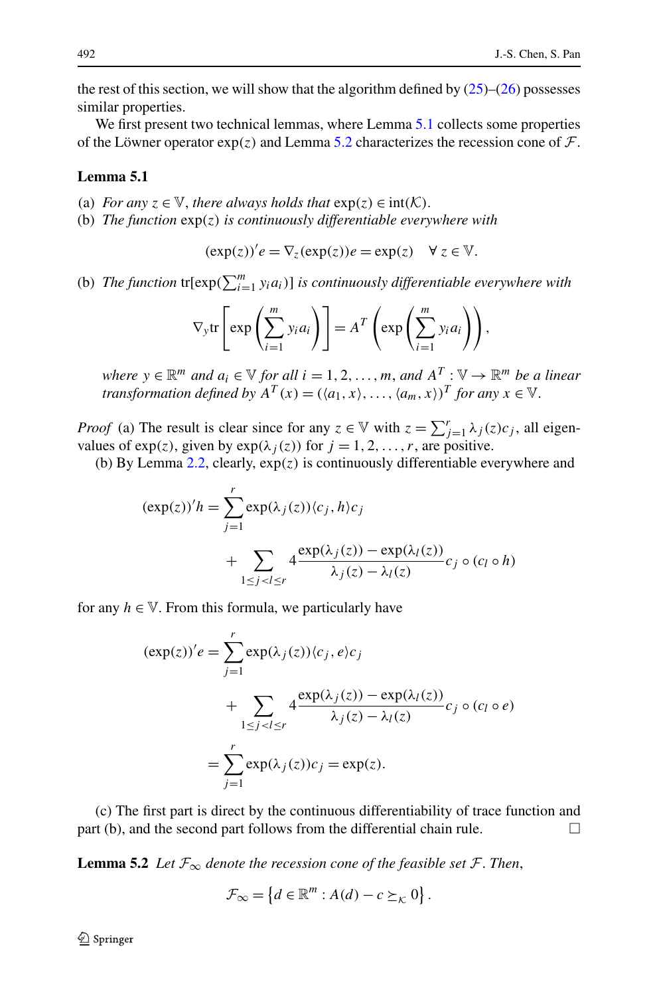<span id="page-15-0"></span>the rest of this section, we will show that the algorithm defined by  $(25)$  $(25)$ – $(26)$  $(26)$  possesses similar properties.

We first present two technical lemmas, where Lemma [5.1](#page-15-0) collects some properties of the Löwner operator  $\exp(z)$  and Lemma [5.2](#page-15-1) characterizes the recession cone of  $\mathcal{F}$ .

### **Lemma 5.1**

- (a) *For any*  $z \in \mathbb{V}$ *, there always holds that*  $exp(z) \in int(\mathcal{K})$ *.*
- (b) *The function* exp*(z) is continuously differentiable everywhere with*

$$
(\exp(z))'e = \nabla_z(\exp(z))e = \exp(z) \quad \forall z \in \mathbb{V}.
$$

(b) *The function*  $\text{tr}[\exp(\sum_{i=1}^{m} y_i a_i)]$  *is continuously differentiable everywhere with* 

$$
\nabla_{\mathbf{y}} \text{tr}\left[\exp\left(\sum_{i=1}^{m} y_i a_i\right)\right] = A^T \left(\exp\left(\sum_{i=1}^{m} y_i a_i\right)\right),
$$

*where*  $y \in \mathbb{R}^m$  *and*  $a_i \in \mathbb{V}$  *for all*  $i = 1, 2, ..., m$ *, and*  $A^T : \mathbb{V} \to \mathbb{R}^m$  *be a linear transformation defined by*  $A^T(x) = (\langle a_1, x \rangle, \dots, \langle a_m, x \rangle)^T$  *for any*  $x \in V$ .

*Proof* (a) The result is clear since for any  $z \in V$  with  $z = \sum_{j=1}^{r} \lambda_j(z)c_j$ , all eigenvalues of  $exp(z)$ , given by  $exp(\lambda_j(z))$  for  $j = 1, 2, ..., r$ , are positive.

(b) By Lemma [2.2](#page-5-1), clearly, exp*(z)* is continuously differentiable everywhere and

$$
(\exp(z))'h = \sum_{j=1}^r \exp(\lambda_j(z)) \langle c_j, h \rangle c_j
$$
  
+ 
$$
\sum_{1 \le j < l \le r} 4 \frac{\exp(\lambda_j(z)) - \exp(\lambda_l(z))}{\lambda_j(z) - \lambda_l(z)} c_j \circ (c_l \circ h)
$$

for any  $h \in V$ . From this formula, we particularly have

$$
(\exp(z))'e = \sum_{j=1}^{r} \exp(\lambda_j(z)) \langle c_j, e \rangle c_j
$$
  
+ 
$$
\sum_{1 \le j < l \le r} 4 \frac{\exp(\lambda_j(z)) - \exp(\lambda_l(z))}{\lambda_j(z) - \lambda_l(z)} c_j \circ (c_l \circ e)
$$
  
= 
$$
\sum_{j=1}^{r} \exp(\lambda_j(z)) c_j = \exp(z).
$$

<span id="page-15-1"></span>(c) The first part is direct by the continuous differentiability of trace function and part (b), and the second part follows from the differential chain rule.  $\Box$ 

**Lemma 5.2** *Let*  $\mathcal{F}_{\infty}$  *denote the recession cone of the feasible set*  $\mathcal{F}$ *. Then,* 

$$
\mathcal{F}_{\infty} = \left\{ d \in \mathbb{R}^m : A(d) - c \succeq_K 0 \right\}.
$$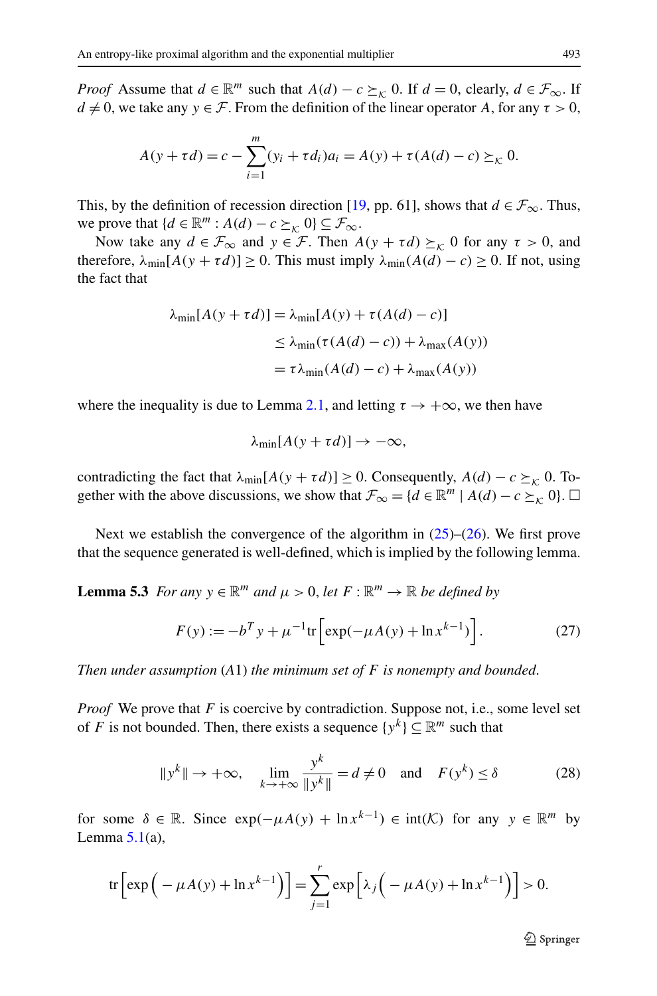*Proof* Assume that  $d \in \mathbb{R}^m$  such that  $A(d) - c \succeq_K 0$ . If  $d = 0$ , clearly,  $d \in \mathcal{F}_{\infty}$ . If  $d \neq 0$ , we take any  $y \in \mathcal{F}$ . From the definition of the linear operator *A*, for any  $\tau > 0$ ,

$$
A(y + \tau d) = c - \sum_{i=1}^{m} (y_i + \tau d_i) a_i = A(y) + \tau (A(d) - c) \succeq_{\mathcal{K}} 0.
$$

This, by the definition of recession direction [\[19](#page-22-14), pp. 61], shows that  $d \in \mathcal{F}_{\infty}$ . Thus, we prove that  $\{d \in \mathbb{R}^m : A(d) - c \succeq_K 0\} \subseteq \mathcal{F}_{\infty}$ .

Now take any  $d \in \mathcal{F}_{\infty}$  and  $y \in \mathcal{F}$ . Then  $A(y + \tau d) \succeq_{\kappa} 0$  for any  $\tau > 0$ , and therefore,  $\lambda_{\min}[A(y + \tau d)] \ge 0$ . This must imply  $\lambda_{\min}(A(d) - c) \ge 0$ . If not, using the fact that

$$
\lambda_{\min}[A(y + \tau d)] = \lambda_{\min}[A(y) + \tau(A(d) - c)]
$$
  
\n
$$
\leq \lambda_{\min}(\tau(A(d) - c)) + \lambda_{\max}(A(y))
$$
  
\n
$$
= \tau \lambda_{\min}(A(d) - c) + \lambda_{\max}(A(y))
$$

where the inequality is due to Lemma [2.1](#page-4-1), and letting  $\tau \to +\infty$ , we then have

$$
\lambda_{\min}[A(y+\tau d)] \to -\infty,
$$

contradicting the fact that  $\lambda_{\min}[A(y + \tau d)] \ge 0$ . Consequently,  $A(d) - c \ge \kappa$  0. Together with the above discussions, we show that  $\mathcal{F}_{\infty} = \{d \in \mathbb{R}^m \mid A(d) - c \succeq_K 0\}$ .

Next we establish the convergence of the algorithm in  $(25)$  $(25)$ – $(26)$  $(26)$ . We first prove that the sequence generated is well-defined, which is implied by the following lemma.

**Lemma 5.3** *For any*  $y \in \mathbb{R}^m$  *and*  $\mu > 0$ , *let*  $F : \mathbb{R}^m \to \mathbb{R}$  *be defined by* 

$$
F(y) := -b^T y + \mu^{-1} \text{tr} \left[ \exp(-\mu A(y) + \ln x^{k-1}) \right]. \tag{27}
$$

*Then under assumption* (*A*1) *the minimum set of F is nonempty and bounded*.

*Proof* We prove that *F* is coercive by contradiction. Suppose not, i.e., some level set of *F* is not bounded. Then, there exists a sequence  $\{y^k\} \subseteq \mathbb{R}^m$  such that

$$
||y^k|| \to +\infty, \quad \lim_{k \to +\infty} \frac{y^k}{||y^k||} = d \neq 0 \quad \text{and} \quad F(y^k) \le \delta \tag{28}
$$

for some  $\delta \in \mathbb{R}$ . Since  $exp(-\mu A(y) + \ln x^{k-1}) \in int(\mathcal{K})$  for any  $y \in \mathbb{R}^m$  by Lemma  $5.1(a)$  $5.1(a)$ ,

$$
\operatorname{tr}\left[\exp\left(-\mu A(y) + \ln x^{k-1}\right)\right] = \sum_{j=1}^r \exp\left[\lambda_j\left(-\mu A(y) + \ln x^{k-1}\right)\right] > 0.
$$

 $\mathcal{D}$  Springer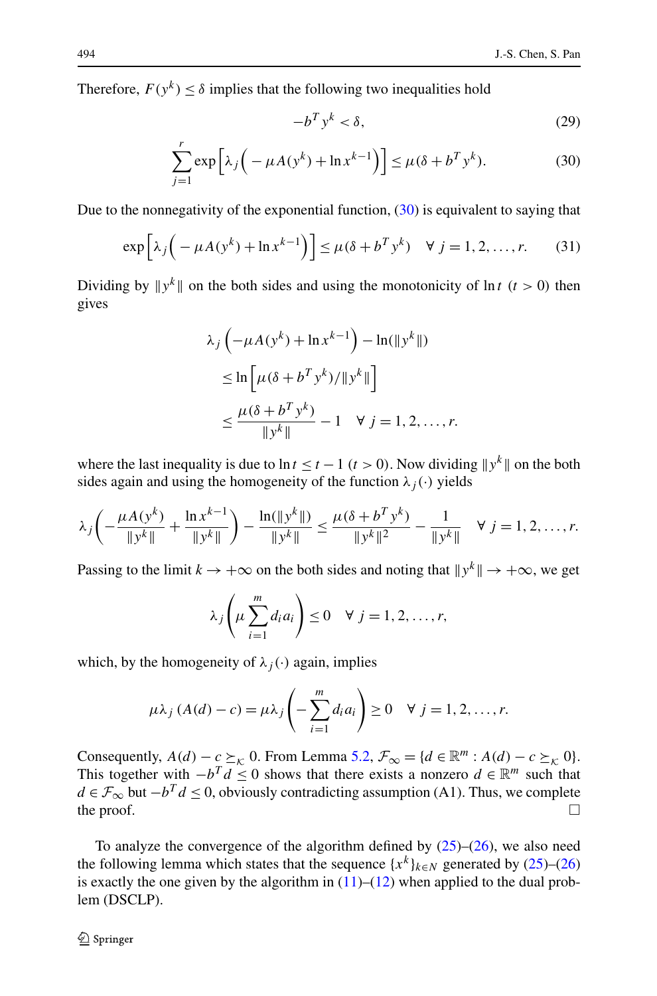<span id="page-17-0"></span>Therefore,  $F(y^k) < \delta$  implies that the following two inequalities hold

$$
-b^T y^k < \delta,\tag{29}
$$

$$
\sum_{j=1}^{r} \exp\left[\lambda_j \left(-\mu A(y^k) + \ln x^{k-1}\right)\right] \le \mu (\delta + b^T y^k). \tag{30}
$$

Due to the nonnegativity of the exponential function,  $(30)$  $(30)$  is equivalent to saying that

$$
\exp\left[\lambda_j\left(-\mu A(y^k) + \ln x^{k-1}\right)\right] \le \mu(\delta + b^T y^k) \quad \forall \ j = 1, 2, \dots, r. \tag{31}
$$

Dividing by  $||y^k||$  on the both sides and using the monotonicity of  $ln t$  ( $t > 0$ ) then gives

$$
\lambda_j \left( -\mu A(y^k) + \ln x^{k-1} \right) - \ln(\|y^k\|)
$$
  
\n
$$
\leq \ln \left[ \mu (\delta + b^T y^k) / \|y^k\| \right]
$$
  
\n
$$
\leq \frac{\mu(\delta + b^T y^k)}{\|y^k\|} - 1 \quad \forall j = 1, 2, ..., r.
$$

where the last inequality is due to  $\ln t \leq t - 1$  ( $t > 0$ ). Now dividing  $||y^k||$  on the both sides again and using the homogeneity of the function  $\lambda_i(\cdot)$  yields

$$
\lambda_j \left( -\frac{\mu A(y^k)}{\|y^k\|} + \frac{\ln x^{k-1}}{\|y^k\|} \right) - \frac{\ln(\|y^k\|)}{\|y^k\|} \le \frac{\mu(\delta + b^T y^k)}{\|y^k\|^2} - \frac{1}{\|y^k\|} \quad \forall \ j = 1, 2, \dots, r.
$$

Passing to the limit  $k \to +\infty$  on the both sides and noting that  $||y^k|| \to +\infty$ , we get

$$
\lambda_j\left(\mu\sum_{i=1}^m d_i a_i\right) \leq 0 \quad \forall \ j=1,2,\ldots,r,
$$

which, by the homogeneity of  $\lambda_i(\cdot)$  again, implies

$$
\mu \lambda_j \left( A(d) - c \right) = \mu \lambda_j \left( - \sum_{i=1}^m d_i a_i \right) \ge 0 \quad \forall \ j = 1, 2, \dots, r.
$$

Consequently,  $A(d) - c \succeq_{\kappa} 0$ . From Lemma [5.2,](#page-15-1)  $\mathcal{F}_{\infty} = \{d \in \mathbb{R}^m : A(d) - c \succeq_{\kappa} 0\}.$ This together with  $-b^T d \leq 0$  shows that there exists a nonzero  $d \in \mathbb{R}^m$  such that *d* ∈  $\mathcal{F}_{\infty}$  but  $-b^T d \le 0$ , obviously contradicting assumption (A1). Thus, we complete the proof.  $\Box$ 

To analyze the convergence of the algorithm defined by  $(25)$  $(25)$ – $(26)$  $(26)$ , we also need the following lemma which states that the sequence  ${x^k}_{k \in N}$  generated by ([25\)](#page-14-0)–[\(26](#page-14-1)) is exactly the one given by the algorithm in  $(11)$  $(11)$ – $(12)$  $(12)$  when applied to the dual problem (DSCLP).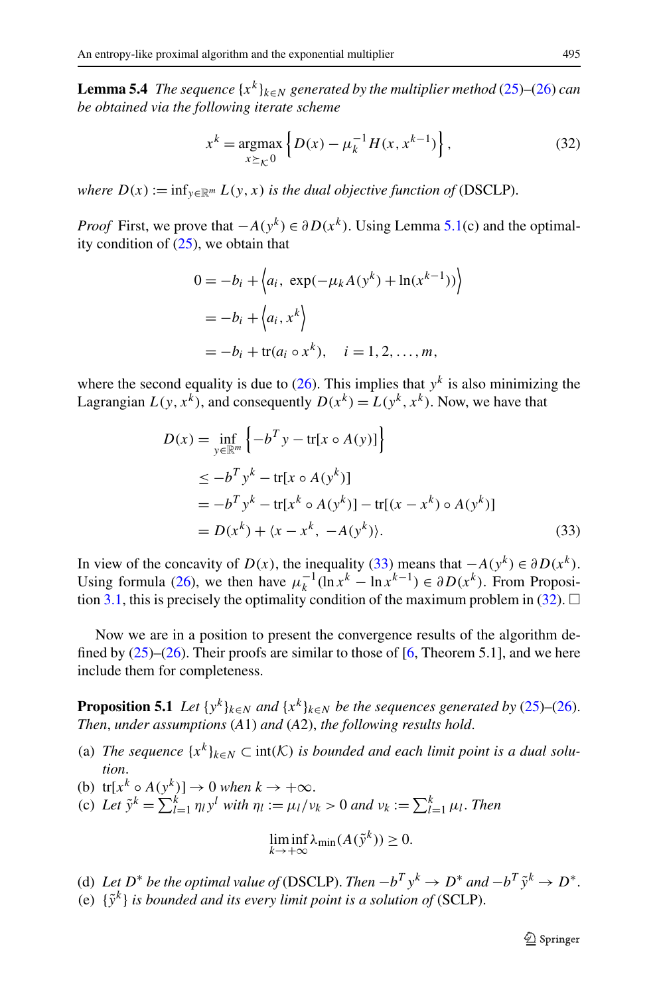<span id="page-18-2"></span><span id="page-18-1"></span>**Lemma 5.4** *The sequence*  $\{x^k\}_{k\in\mathbb{N}}$  *generated by the multiplier method* [\(25](#page-14-0))–([26\)](#page-14-1) *can be obtained via the following iterate scheme*

$$
x^{k} = \underset{x \succeq_{\mathcal{K}} 0}{\text{argmax}} \left\{ D(x) - \mu_{k}^{-1} H(x, x^{k-1}) \right\},
$$
 (32)

*where*  $D(x) := \inf_{y \in \mathbb{R}^m} L(y, x)$  *is the dual objective function of* (DSCLP).

*Proof* First, we prove that  $-A(y^k) \in \partial D(x^k)$ . Using Lemma [5.1\(](#page-15-0)c) and the optimality condition of  $(25)$  $(25)$ , we obtain that

$$
0 = -b_i + \langle a_i, \exp(-\mu_k A(y^k) + \ln(x^{k-1})) \rangle
$$
  
=  $-b_i + \langle a_i, x^k \rangle$   
=  $-b_i + \text{tr}(a_i \circ x^k), \quad i = 1, 2, ..., m,$ 

<span id="page-18-0"></span>where the second equality is due to  $(26)$  $(26)$ . This implies that  $y<sup>k</sup>$  is also minimizing the Lagrangian  $L(y, x^k)$ , and consequently  $D(x^k) = L(y^k, x^k)$ . Now, we have that

$$
D(x) = \inf_{y \in \mathbb{R}^m} \left\{ -b^T y - \text{tr}[x \circ A(y)] \right\}
$$
  
\n
$$
\leq -b^T y^k - \text{tr}[x \circ A(y^k)]
$$
  
\n
$$
= -b^T y^k - \text{tr}[x^k \circ A(y^k)] - \text{tr}[(x - x^k) \circ A(y^k)]
$$
  
\n
$$
= D(x^k) + \langle x - x^k, -A(y^k) \rangle. \tag{33}
$$

In view of the concavity of *D(x)*, the inequality [\(33](#page-18-0)) means that  $-A(y^k) \in \partial D(x^k)$ . Using formula ([26\)](#page-14-1), we then have  $\mu_k^{-1}(\ln x^k - \ln x^{k-1}) \in \partial D(x^k)$ . From Proposi-tion [3.1,](#page-8-0) this is precisely the optimality condition of the maximum problem in ([32\)](#page-18-1).  $\Box$ 

Now we are in a position to present the convergence results of the algorithm defined by  $(25)$  $(25)$ – $(26)$  $(26)$ . Their proofs are similar to those of [\[6](#page-21-10), Theorem 5.1], and we here include them for completeness.

**Proposition 5.1** *Let*  $\{y^k\}_{k\in\mathbb{N}}$  *and*  $\{x^k\}_{k\in\mathbb{N}}$  *be the sequences generated by* [\(25](#page-14-0))–([26\)](#page-14-1). *Then*, *under assumptions* (*A*1) *and* (*A*2), *the following results hold*.

- (a) *The sequence*  $\{x^k\}_{k \in \mathbb{N}} \subset \text{int}(\mathcal{K})$  *is bounded and each limit point is a dual solution*.
- (b)  $tr[x^k \circ A(y^k)] \to 0$  *when*  $k \to +\infty$ .
- (c) Let  $\tilde{y}^k = \sum_{l=1}^k \eta_l y^l$  with  $\eta_l := \mu_l/v_k > 0$  and  $v_k := \sum_{l=1}^k \mu_l$ . Then

$$
\liminf_{k \to +\infty} \lambda_{\min}(A(\tilde{\mathbf{y}}^k)) \ge 0.
$$

(d) Let  $D^*$  be the optimal value of (DSCLP). Then  $-b^T y^k \to D^*$  and  $-b^T \tilde{y}^k \to D^*$ . (e)  $\{\tilde{v}^k\}$  *is bounded and its every limit point is a solution of* (SCLP).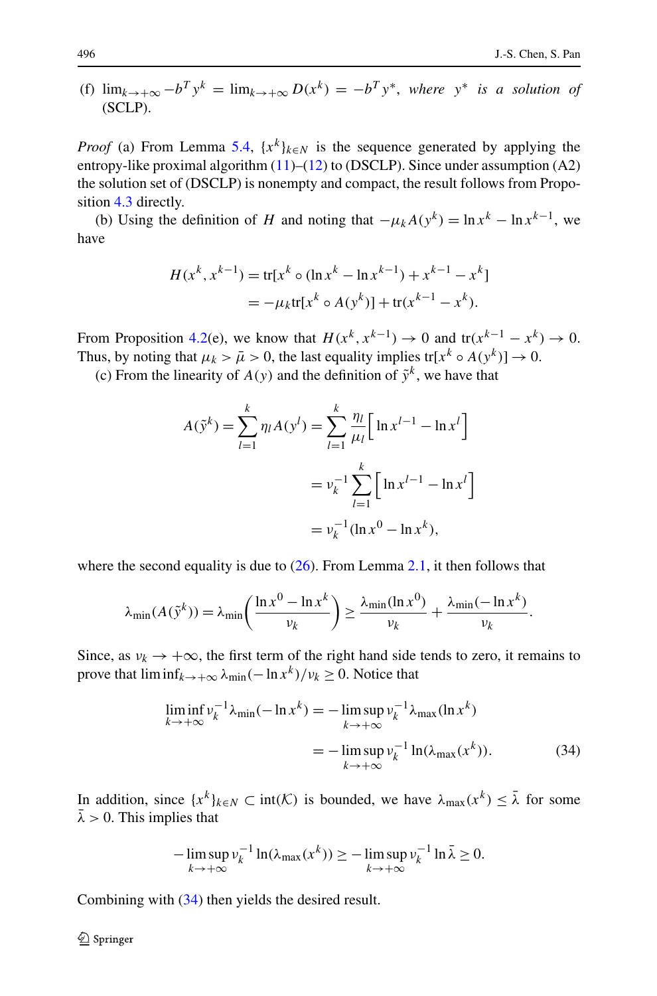(f)  $\lim_{k \to +\infty} -b^T y^k = \lim_{k \to +\infty} D(x^k) = -b^T y^*$ , where  $y^*$  is a solution of (SCLP).

*Proof* (a) From Lemma [5.4,](#page-18-2)  $\{x^k\}_{k \in N}$  is the sequence generated by applying the entropy-like proximal algorithm [\(11](#page-6-4))–[\(12](#page-6-5)) to (DSCLP). Since under assumption (A2) the solution set of (DSCLP) is nonempty and compact, the result follows from Proposition [4.3](#page-13-1) directly.

(b) Using the definition of *H* and noting that  $-\mu_k A(y^k) = \ln x^k - \ln x^{k-1}$ , we have

$$
H(x^{k}, x^{k-1}) = \text{tr}[x^{k} \circ (\ln x^{k} - \ln x^{k-1}) + x^{k-1} - x^{k}]
$$
  
=  $-\mu_{k} \text{tr}[x^{k} \circ A(y^{k})] + \text{tr}(x^{k-1} - x^{k}).$ 

From Proposition [4.2\(](#page-11-1)e), we know that  $H(x^k, x^{k-1}) \rightarrow 0$  and  $tr(x^{k-1} - x^k) \rightarrow 0$ . Thus, by noting that  $\mu_k > \bar{\mu} > 0$ , the last equality implies tr[ $x^k \circ A(y^k)$ ]  $\to 0$ .

(c) From the linearity of  $A(y)$  and the definition of  $\tilde{y}^k$ , we have that

$$
A(\tilde{y}^k) = \sum_{l=1}^k \eta_l A(y^l) = \sum_{l=1}^k \frac{\eta_l}{\mu_l} \Big[ \ln x^{l-1} - \ln x^l \Big]
$$
  
=  $v_k^{-1} \sum_{l=1}^k \Big[ \ln x^{l-1} - \ln x^l \Big]$   
=  $v_k^{-1} (\ln x^0 - \ln x^k),$ 

<span id="page-19-0"></span>where the second equality is due to  $(26)$  $(26)$ . From Lemma [2.1](#page-4-1), it then follows that

$$
\lambda_{\min}(A(\tilde{\mathbf{y}}^k)) = \lambda_{\min}\left(\frac{\ln x^0 - \ln x^k}{\nu_k}\right) \ge \frac{\lambda_{\min}(\ln x^0)}{\nu_k} + \frac{\lambda_{\min}(-\ln x^k)}{\nu_k}.
$$

Since, as  $v_k \to +\infty$ , the first term of the right hand side tends to zero, it remains to prove that  $\liminf_{k \to +\infty} \lambda_{\min}(-\ln x^k)/v_k \ge 0$ . Notice that

$$
\liminf_{k \to +\infty} \nu_k^{-1} \lambda_{\min}(-\ln x^k) = -\limsup_{k \to +\infty} \nu_k^{-1} \lambda_{\max}(\ln x^k)
$$
  
= 
$$
-\limsup_{k \to +\infty} \nu_k^{-1} \ln(\lambda_{\max}(x^k)).
$$
 (34)

In addition, since  $\{x^k\}_{k\in\mathbb{N}} \subset \text{int}(\mathcal{K})$  is bounded, we have  $\lambda_{\max}(x^k) \leq \overline{\lambda}$  for some  $\overline{\lambda} > 0$ . This implies that

$$
-\limsup_{k\to+\infty}\nu_k^{-1}\ln(\lambda_{\max}(x^k))\geq-\limsup_{k\to+\infty}\nu_k^{-1}\ln\bar{\lambda}\geq 0.
$$

Combining with ([34\)](#page-19-0) then yields the desired result.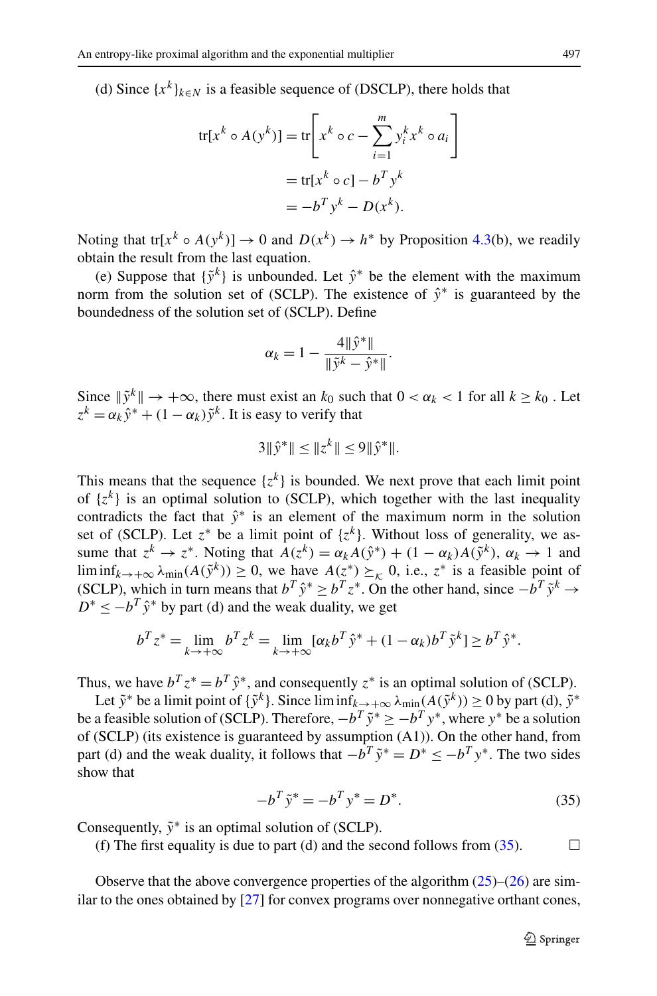(d) Since  $\{x^k\}_{k \in \mathbb{N}}$  is a feasible sequence of (DSCLP), there holds that

$$
\text{tr}[x^k \circ A(y^k)] = \text{tr}\left[x^k \circ c - \sum_{i=1}^m y_i^k x^k \circ a_i\right]
$$

$$
= \text{tr}[x^k \circ c] - b^T y^k
$$

$$
= -b^T y^k - D(x^k).
$$

Noting that tr[ $x^k \circ A(y^k)$ ]  $\to 0$  and  $D(x^k) \to h^*$  by Proposition [4.3\(](#page-13-1)b), we readily obtain the result from the last equation.

(e) Suppose that {˜*yk*} is unbounded. Let *y*ˆ<sup>∗</sup> be the element with the maximum norm from the solution set of (SCLP). The existence of  $\hat{y}^*$  is guaranteed by the boundedness of the solution set of (SCLP). Define

$$
\alpha_k = 1 - \frac{4\|\hat{y}^*\|}{\|\tilde{y}^k - \hat{y}^*\|}.
$$

Since  $\|\tilde{y}^k\| \to +\infty$ , there must exist an  $k_0$  such that  $0 < \alpha_k < 1$  for all  $k \geq k_0$ . Let  $z^{k} = \alpha_{k} \hat{v}^{*} + (1 - \alpha_{k}) \tilde{v}^{k}$ . It is easy to verify that

$$
3\|\hat{y}^*\| \le \|z^k\| \le 9\|\hat{y}^*\|.
$$

This means that the sequence  $\{z^k\}$  is bounded. We next prove that each limit point of  $\{z^k\}$  is an optimal solution to (SCLP), which together with the last inequality contradicts the fact that  $\hat{y}^*$  is an element of the maximum norm in the solution set of (SCLP). Let  $z^*$  be a limit point of  $\{z^k\}$ . Without loss of generality, we assume that  $z^k \to z^*$ . Noting that  $A(z^k) = \alpha_k A(\hat{y}^*) + (1 - \alpha_k)A(\tilde{y}^k)$ ,  $\alpha_k \to 1$  and lim inf $_{k\to+\infty}$   $\lambda_{\min}(A(\tilde{y}^k)) \geq 0$ , we have  $A(z^*) \succeq_k 0$ , i.e.,  $z^*$  is a feasible point of (SCLP), which in turn means that  $b^T \hat{y}^* > b^T z^*$ . On the other hand, since  $-\hat{b}^T \tilde{y}^k$  →  $D^* < -b^T \hat{y}^*$  by part (d) and the weak duality, we get

<span id="page-20-0"></span>
$$
b^T z^* = \lim_{k \to +\infty} b^T z^k = \lim_{k \to +\infty} [\alpha_k b^T \hat{y}^* + (1 - \alpha_k) b^T \tilde{y}^k] \ge b^T \hat{y}^*.
$$

Thus, we have  $b^T z^* = b^T \hat{y}^*$ , and consequently  $z^*$  is an optimal solution of (SCLP).

Let  $\tilde{y}^*$  be a limit point of  $\{\tilde{y}^k\}$ . Since  $\liminf_{k\to+\infty} \lambda_{\min}(A(\tilde{y}^k)) \ge 0$  by part (d),  $\tilde{y}^*$ be a feasible solution of (SCLP). Therefore,  $-b^T \tilde{y}^* \geq -b^T y^*$ , where  $y^*$  be a solution of (SCLP) (its existence is guaranteed by assumption (A1)). On the other hand, from part (d) and the weak duality, it follows that  $-b^T \tilde{y}^* = D^* \leq -b^T y^*$ . The two sides show that

$$
-b^T \tilde{y}^* = -b^T y^* = D^*.
$$
 (35)

Consequently,  $\tilde{y}$ <sup>∗</sup> is an optimal solution of (SCLP).

(f) The first equality is due to part (d) and the second follows from  $(35)$  $(35)$ .

Observe that the above convergence properties of the algorithm  $(25)$  $(25)$ – $(26)$  $(26)$  are similar to the ones obtained by [[27\]](#page-22-0) for convex programs over nonnegative orthant cones,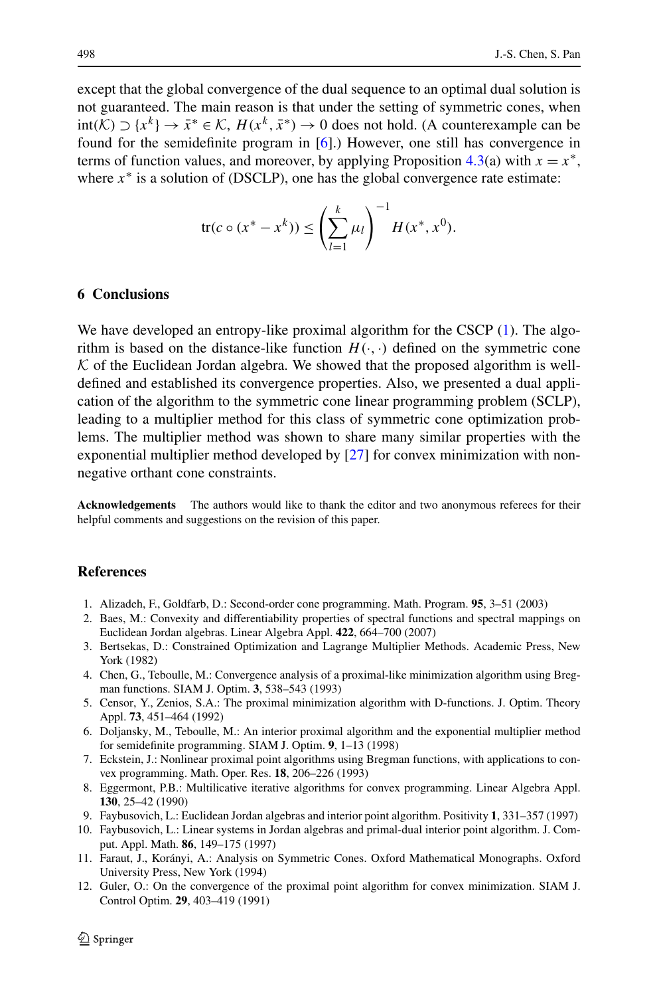<span id="page-21-7"></span>except that the global convergence of the dual sequence to an optimal dual solution is not guaranteed. The main reason is that under the setting of symmetric cones, when  $int(K)$  ⊃ { $x^k$ } →  $\bar{x}^* \in K$ ,  $H(x^k, \bar{x}^*)$  → 0 does not hold. (A counterexample can be found for the semidefinite program in [\[6](#page-21-10)].) However, one still has convergence in terms of function values, and moreover, by applying Proposition  $4.3(a)$  $4.3(a)$  with  $x = x^*$ , where  $x^*$  is a solution of (DSCLP), one has the global convergence rate estimate:

$$
\text{tr}(c \circ (x^* - x^k)) \le \left(\sum_{l=1}^k \mu_l\right)^{-1} H(x^*, x^0).
$$

#### **6 Conclusions**

We have developed an entropy-like proximal algorithm for the CSCP [\(1](#page-1-1)). The algorithm is based on the distance-like function  $H(\cdot, \cdot)$  defined on the symmetric cone  $K$  of the Euclidean Jordan algebra. We showed that the proposed algorithm is welldefined and established its convergence properties. Also, we presented a dual application of the algorithm to the symmetric cone linear programming problem (SCLP), leading to a multiplier method for this class of symmetric cone optimization problems. The multiplier method was shown to share many similar properties with the exponential multiplier method developed by [[27\]](#page-22-0) for convex minimization with nonnegative orthant cone constraints.

<span id="page-21-12"></span><span id="page-21-9"></span><span id="page-21-6"></span><span id="page-21-0"></span>**Acknowledgements** The authors would like to thank the editor and two anonymous referees for their helpful comments and suggestions on the revision of this paper.

## <span id="page-21-10"></span><span id="page-21-3"></span>**References**

- 1. Alizadeh, F., Goldfarb, D.: Second-order cone programming. Math. Program. **95**, 3–51 (2003)
- <span id="page-21-4"></span>2. Baes, M.: Convexity and differentiability properties of spectral functions and spectral mappings on Euclidean Jordan algebras. Linear Algebra Appl. **422**, 664–700 (2007)
- <span id="page-21-5"></span>3. Bertsekas, D.: Constrained Optimization and Lagrange Multiplier Methods. Academic Press, New York (1982)
- <span id="page-21-1"></span>4. Chen, G., Teboulle, M.: Convergence analysis of a proximal-like minimization algorithm using Bregman functions. SIAM J. Optim. **3**, 538–543 (1993)
- <span id="page-21-2"></span>5. Censor, Y., Zenios, S.A.: The proximal minimization algorithm with D-functions. J. Optim. Theory Appl. **73**, 451–464 (1992)
- <span id="page-21-8"></span>6. Doljansky, M., Teboulle, M.: An interior proximal algorithm and the exponential multiplier method for semidefinite programming. SIAM J. Optim. **9**, 1–13 (1998)
- <span id="page-21-11"></span>7. Eckstein, J.: Nonlinear proximal point algorithms using Bregman functions, with applications to convex programming. Math. Oper. Res. **18**, 206–226 (1993)
- 8. Eggermont, P.B.: Multilicative iterative algorithms for convex programming. Linear Algebra Appl. **130**, 25–42 (1990)
- 9. Faybusovich, L.: Euclidean Jordan algebras and interior point algorithm. Positivity **1**, 331–357 (1997)
- 10. Faybusovich, L.: Linear systems in Jordan algebras and primal-dual interior point algorithm. J. Comput. Appl. Math. **86**, 149–175 (1997)
- 11. Faraut, J., Korányi, A.: Analysis on Symmetric Cones. Oxford Mathematical Monographs. Oxford University Press, New York (1994)
- 12. Guler, O.: On the convergence of the proximal point algorithm for convex minimization. SIAM J. Control Optim. **29**, 403–419 (1991)